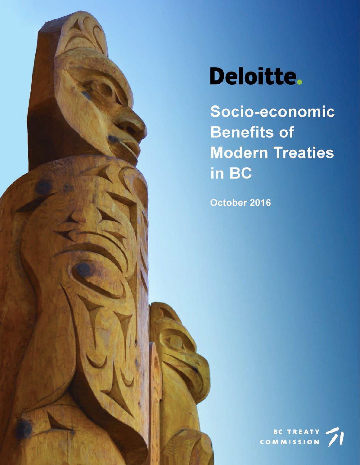

Socio-economic **Benefits of Modern Treaties** in BC

October 2016

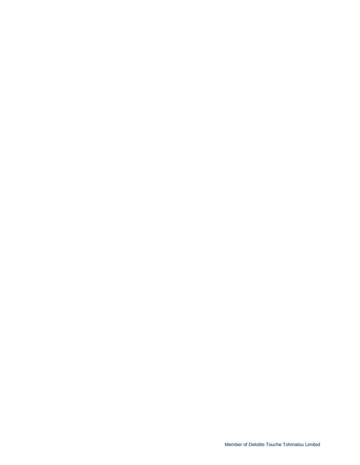Member of Deloitte Touche Tohmatsu Limited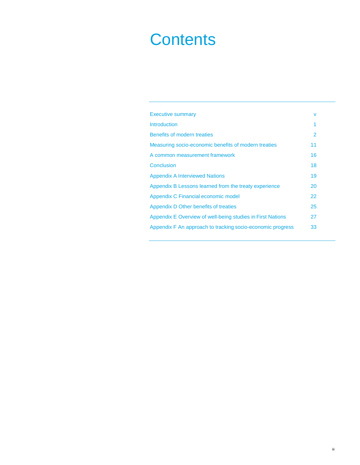# **Contents**

| <b>Executive summary</b>                                   | v              |
|------------------------------------------------------------|----------------|
| Introduction                                               | 1              |
| Benefits of modern treaties                                | $\mathfrak{p}$ |
| Measuring socio-economic benefits of modern treaties       | 11             |
| A common measurement framework                             | 16             |
| Conclusion                                                 | 18             |
| <b>Appendix A Interviewed Nations</b>                      | 19             |
| Appendix B Lessons learned from the treaty experience      | 20             |
| Appendix C Financial economic model                        | 22             |
| Appendix D Other benefits of treaties                      | 25             |
| Appendix E Overview of well-being studies in First Nations | 27             |
| Appendix F An approach to tracking socio-economic progress | 33             |
|                                                            |                |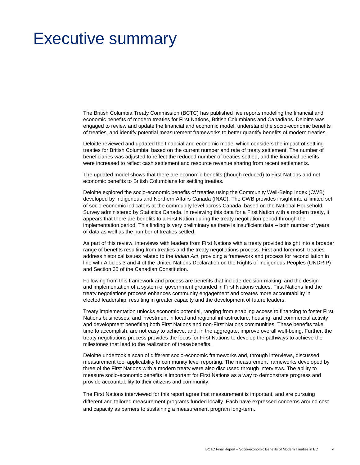# <span id="page-4-0"></span>Executive summary

The British Columbia Treaty Commission (BCTC) has published five reports modeling the financial and economic benefits of modern treaties for First Nations, British Columbians and Canadians. Deloitte was engaged to review and update the financial and economic model, understand the socio-economic benefits of treaties, and identify potential measurement frameworks to better quantify benefits of modern treaties.

Deloitte reviewed and updated the financial and economic model which considers the impact of settling treaties for British Columbia, based on the current number and rate of treaty settlement. The number of beneficiaries was adjusted to reflect the reduced number of treaties settled, and the financial benefits were increased to reflect cash settlement and resource revenue sharing from recent settlements.

The updated model shows that there are economic benefits (though reduced) to First Nations and net economic benefits to British Columbians for settling treaties.

Deloitte explored the socio-economic benefits of treaties using the Community Well-Being Index (CWB) developed by Indigenous and Northern Affairs Canada (INAC). The CWB provides insight into a limited set of socio-economic indicators at the community level across Canada, based on the National Household Survey administered by Statistics Canada. In reviewing this data for a First Nation with a modern treaty, it appears that there are benefits to a First Nation during the treaty negotiation period through the implementation period. This finding is very preliminary as there is insufficient data – both number of years of data as well as the number of treaties settled.

As part of this review, interviews with leaders from First Nations with a treaty provided insight into a broader range of benefits resulting from treaties and the treaty negotiations process. First and foremost, treaties address historical issues related to the *Indian Act*, providing a framework and process for reconciliation in line with Articles 3 and 4 of the United Nations Declaration on the Rights of Indigenous Peoples (UNDRIP) and Section 35 of the Canadian Constitution.

Following from this framework and process are benefits that include decision-making, and the design and implementation of a system of government grounded in First Nations values. First Nations find the treaty negotiations process enhances community engagement and creates more accountability in elected leadership, resulting in greater capacity and the development of future leaders.

Treaty implementation unlocks economic potential, ranging from enabling access to financing to foster First Nations businesses; and investment in local and regional infrastructure, housing, and commercial activity and development benefiting both First Nations and non-First Nations communities. These benefits take time to accomplish, are not easy to achieve, and, in the aggregate, improve overall well-being. Further, the treaty negotiations process provides the focus for First Nations to develop the pathways to achieve the milestones that lead to the realization of thesebenefits.

Deloitte undertook a scan of different socio-economic frameworks and, through interviews, discussed measurement tool applicability to community level reporting. The measurement frameworks developed by three of the First Nations with a modern treaty were also discussed through interviews. The ability to measure socio-economic benefits is important for First Nations as a way to demonstrate progress and provide accountability to their citizens and community.

The First Nations interviewed for this report agree that measurement is important, and are pursuing different and tailored measurement programs funded locally. Each have expressed concerns around cost and capacity as barriers to sustaining a measurement program long-term.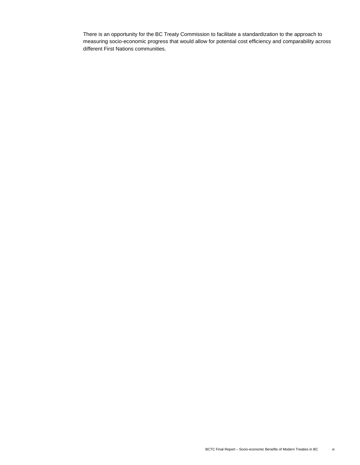There is an opportunity for the BC Treaty Commission to facilitate a standardization to the approach to measuring socio-economic progress that would allow for potential cost efficiency and comparability across different First Nations communities.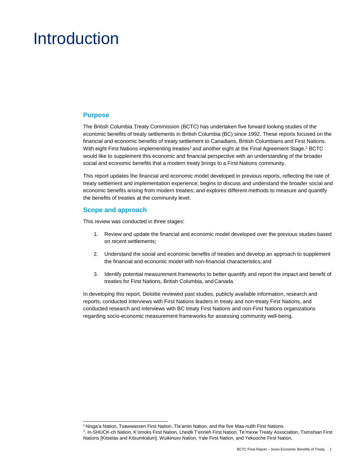# <span id="page-6-0"></span>Introduction

### **Purpose**

The British Columbia Treaty Commission (BCTC) has undertaken five forward looking studies of the economic benefits of treaty settlements in British Columbia (BC) since 1992. These reports focused on the financial and economic benefits of treaty settlement to Canadians, British Columbians and First Nations. With eight First Nations implementing treaties<sup>1</sup> and another eight at the Final Agreement Stage,<sup>2</sup> BCTC would like to supplement this economic and financial perspective with an understanding of the broader social and economic benefits that a modern treaty brings to a First Nations community.

This report updates the financial and economic model developed in previous reports, reflecting the rate of treaty settlement and implementation experience; begins to discuss and understand the broader social and economic benefits arising from modern treaties; and explores different methods to measure and quantify the benefits of treaties at the community level.

# **Scope and approach**

This review was conducted in three stages:

- 1. Review and update the financial and economic model developed over the previous studies based on recent settlements;
- 2. Understand the social and economic benefits of treaties and develop an approach to supplement the financial and economic model with non-financial characteristics;and
- 3. Identify potential measurement frameworks to better quantify and report the impact and benefit of treaties for First Nations, British Columbia, andCanada.

In developing this report, Deloitte reviewed past studies, publicly available information, research and reports, conducted interviews with First Nations leaders in treaty and non-treaty First Nations, and conducted research and interviews with BC treaty First Nations and non-First Nations organizations regarding socio-economic measurement frameworks for assessing community well-being.

<sup>1</sup> Nisga'a Nation, Tsawwassen First Nation, Tla'amin Nation, and the five Maa-nulth First Nations.

<span id="page-6-2"></span><span id="page-6-1"></span><sup>2</sup> . In-SHUCK-ch Nation, K'omoks First Nation, Lheidli T'enneh First Nation, Te'mexw Treaty Association, Tsimshian First Nations [Kitselas and Kitsumkalum], Wuikinuxv Nation, Yale First Nation, and Yekooche First Nation.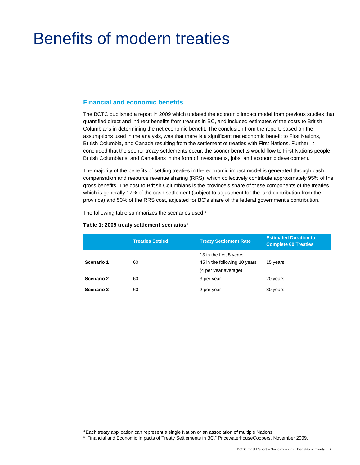# <span id="page-7-0"></span>Benefits of modern treaties

## **Financial and economic benefits**

The BCTC published a report in 2009 which updated the economic impact model from previous studies that quantified direct and indirect benefits from treaties in BC, and included estimates of the costs to British Columbians in determining the net economic benefit. The conclusion from the report, based on the assumptions used in the analysis, was that there is a significant net economic benefit to First Nations, British Columbia, and Canada resulting from the settlement of treaties with First Nations. Further, it concluded that the sooner treaty settlements occur, the sooner benefits would flow to First Nations people, British Columbians, and Canadians in the form of investments, jobs, and economic development.

The majority of the benefits of settling treaties in the economic impact model is generated through cash compensation and resource revenue sharing (RRS), which collectively contribute approximately 95% of the gross benefits. The cost to British Columbians is the province's share of these components of the treaties, which is generally 17% of the cash settlement (subject to adjustment for the land contribution from the province) and 50% of the RRS cost, adjusted for BC's share of the federal government's contribution.

The following table summarizes the scenarios used.<sup>3</sup>

|            | <b>Treaties Settled</b> | <b>Treaty Settlement Rate</b>                                                   | <b>Estimated Duration to</b><br><b>Complete 60 Treaties</b> |
|------------|-------------------------|---------------------------------------------------------------------------------|-------------------------------------------------------------|
| Scenario 1 | 60                      | 15 in the first 5 years<br>45 in the following 10 years<br>(4 per year average) | 15 years                                                    |
| Scenario 2 | 60                      | 3 per year                                                                      | 20 years                                                    |
| Scenario 3 | 60                      | 2 per year                                                                      | 30 years                                                    |
|            |                         |                                                                                 |                                                             |

#### **Table 1: 2009 treaty settlement scenarios**[4](#page-7-2)

<sup>&</sup>lt;sup>3</sup> Each treaty application can represent a single Nation or an association of multiple Nations.

<span id="page-7-2"></span><span id="page-7-1"></span><sup>4 &</sup>quot;Financial and Economic Impacts of Treaty Settlements in BC," PricewaterhouseCoopers, November 2009.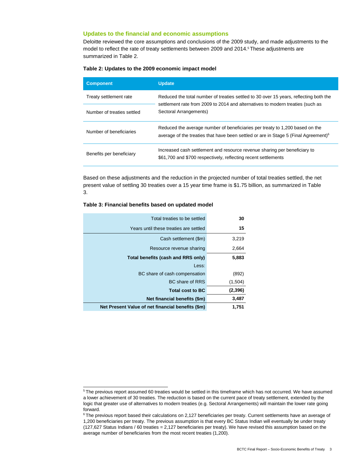#### **Updates to the financial and economic assumptions**

Deloitte reviewed the core assumptions and conclusions of the 2009 study, and made adjustments to the model to reflect the rate of treaty settlements between 2009 and 2014.<sup>5</sup> These adjustments are summarized in Table 2.

| <b>Component</b>           | <b>Update</b>                                                                                                                                                                   |
|----------------------------|---------------------------------------------------------------------------------------------------------------------------------------------------------------------------------|
| Treaty settlement rate     | Reduced the total number of treaties settled to 30 over 15 years, reflecting both the<br>settlement rate from 2009 to 2014 and alternatives to modern treaties (such as         |
| Number of treaties settled | Sectoral Arrangements)                                                                                                                                                          |
| Number of beneficiaries    | Reduced the average number of beneficiaries per treaty to 1,200 based on the<br>average of the treaties that have been settled or are in Stage 5 (Final Agreement) <sup>6</sup> |
| Benefits per beneficiary   | Increased cash settlement and resource revenue sharing per beneficiary to<br>\$61,700 and \$700 respectively, reflecting recent settlements                                     |

Based on these adjustments and the reduction in the projected number of total treaties settled, the net present value of settling 30 treaties over a 15 year time frame is \$1.75 billion, as summarized in Table 3.

|  | Table 3: Financial benefits based on updated model |  |  |  |  |  |
|--|----------------------------------------------------|--|--|--|--|--|
|--|----------------------------------------------------|--|--|--|--|--|

| Total treaties to be settled                      | 30      |
|---------------------------------------------------|---------|
| Years until these treaties are settled            | 15      |
| Cash settlement (\$m)                             | 3,219   |
| Resource revenue sharing                          | 2,664   |
| Total benefits (cash and RRS only)                | 5,883   |
| Less:                                             |         |
| BC share of cash compensation                     | (892)   |
| BC share of RRS                                   | (1,504) |
| <b>Total cost to BC</b>                           | (2,396) |
| Net financial benefits (\$m)                      | 3,487   |
| Net Present Value of net financial benefits (\$m) | 1,751   |

<span id="page-8-0"></span><sup>5</sup> The previous report assumed 60 treaties would be settled in this timeframe which has not occurred. We have assumed a lower achievement of 30 treaties. The reduction is based on the current pace of treaty settlement, extended by the logic that greater use of alternatives to modern treaties (e.g. Sectoral Arrangements) will maintain the lower rate going forward.

<span id="page-8-1"></span><sup>&</sup>lt;sup>6</sup> The previous report based their calculations on 2,127 beneficiaries per treaty. Current settlements have an average of 1,200 beneficiaries per treaty. The previous assumption is that every BC Status Indian will eventually be under treaty (127,627 Status Indians / 60 treaties = 2,127 beneficiaries per treaty). We have revised this assumption based on the average number of beneficiaries from the most recent treaties (1,200).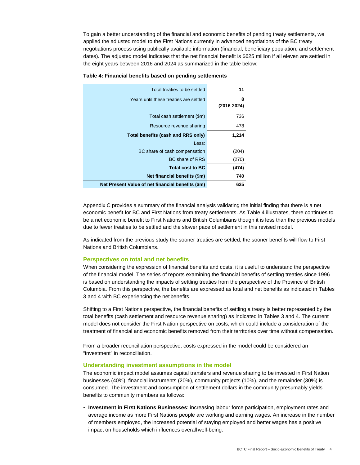To gain a better understanding of the financial and economic benefits of pending treaty settlements, we applied the adjusted model to the First Nations currently in advanced negotiations of the BC treaty negotiations process using publically available information (financial, beneficiary population, and settlement dates). The adjusted model indicates that the net financial benefit is \$625 million if all eleven are settled in the eight years between 2016 and 2024 as summarized in the table below:

| Total treaties to be settled                      | 11              |
|---------------------------------------------------|-----------------|
| Years until these treaties are settled            | 8               |
|                                                   | $(2016 - 2024)$ |
| Total cash settlement (\$m)                       | 736             |
| Resource revenue sharing                          | 478             |
| Total benefits (cash and RRS only)                | 1,214           |
| Less:                                             |                 |
| BC share of cash compensation                     | (204)           |
| <b>BC</b> share of RRS                            | (270)           |
| <b>Total cost to BC</b>                           | (474)           |
| Net financial benefits (\$m)                      | 740             |
| Net Present Value of net financial benefits (\$m) | 625             |

#### **Table 4: Financial benefits based on pending settlements**

Appendix C provides a summary of the financial analysis validating the initial finding that there is a net economic benefit for BC and First Nations from treaty settlements. As Table 4 illustrates, there continues to be a net economic benefit to First Nations and British Columbians though it is less than the previous models due to fewer treaties to be settled and the slower pace of settlement in this revised model.

As indicated from the previous study the sooner treaties are settled, the sooner benefits will flow to First Nations and British Columbians.

#### **Perspectives on total and net benefits**

When considering the expression of financial benefits and costs, it is useful to understand the perspective of the financial model. The series of reports examining the financial benefits of settling treaties since 1996 is based on understanding the impacts of settling treaties from the perspective of the Province of British Columbia. From this perspective, the benefits are expressed as total and net benefits as indicated in Tables 3 and 4 with BC experiencing the net benefits.

Shifting to a First Nations perspective, the financial benefits of settling a treaty is better represented by the total benefits (cash settlement and resource revenue sharing) as indicated in Tables 3 and 4. The current model does not consider the First Nation perspective on costs, which could include a consideration of the treatment of financial and economic benefits removed from their territories over time without compensation.

From a broader reconciliation perspective, costs expressed in the model could be considered an "investment" in reconciliation.

#### **Understanding investment assumptions in the model**

The economic impact model assumes capital transfers and revenue sharing to be invested in First Nation businesses (40%), financial instruments (20%), community projects (10%), and the remainder (30%) is consumed. The investment and consumption of settlement dollars in the community presumably yields benefits to community members as follows:

• **Investment in First Nations Businesses**: increasing labour force participation, employment rates and average income as more First Nations people are working and earning wages. An increase in the number of members employed, the increased potential of staying employed and better wages has a positive impact on households which influences overall well-being.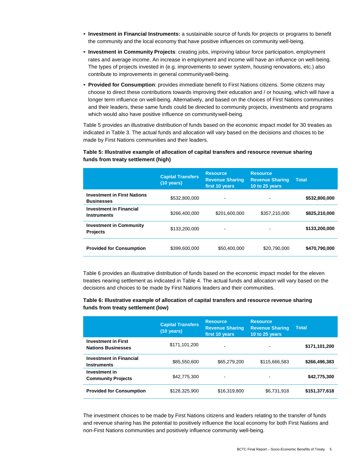- **Investment in Financial Instruments:** a sustainable source of funds for projects or programs to benefit the community and the local economy that have positive influences on community well-being.
- **Investment in Community Projects**: creating jobs, improving labour force participation, employment rates and average income. An increase in employment and income will have an influence on well-being. The types of projects invested in (e.g. improvements to sewer system, housing renovations, etc.) also contribute to improvements in general communitywell-being.
- **Provided for Consumption**: provides immediate benefit to First Nations citizens. Some citizens may choose to direct these contributions towards improving their education and / or housing, which will have a longer term influence on well-being. Alternatively, and based on the choices of First Nations communities and their leaders, these same funds could be directed to community projects, investments and programs which would also have positive influence on communitywell-being.

Table 5 provides an illustrative distribution of funds based on the economic impact model for 30 treaties as indicated in Table 3. The actual funds and allocation will vary based on the decisions and choices to be made by First Nations communities and their leaders.

## **Table 5: Illustrative example of allocation of capital transfers and resource revenue sharing funds from treaty settlement (high)**

|                                                         | <b>Capital Transfers</b><br>$(10 \text{ years})$ | <b>Resource</b><br><b>Revenue Sharing</b><br>first 10 years | <b>Resource</b><br><b>Revenue Sharing</b><br>10 to 25 years | Total         |
|---------------------------------------------------------|--------------------------------------------------|-------------------------------------------------------------|-------------------------------------------------------------|---------------|
| <b>Investment in First Nations</b><br><b>Businesses</b> | \$532,800,000                                    | ٠                                                           |                                                             | \$532,800,000 |
| <b>Investment in Financial</b><br><b>Instruments</b>    | \$266,400,000                                    | \$201.600.000                                               | \$357,210,000                                               | \$825,210,000 |
| <b>Investment in Community</b><br><b>Projects</b>       | \$133,200,000                                    | ٠                                                           |                                                             | \$133,200,000 |
| <b>Provided for Consumption</b>                         | \$399,600,000                                    | \$50,400,000                                                | \$20,790,000                                                | \$470,790,000 |

Table 6 provides an illustrative distribution of funds based on the economic impact model for the eleven treaties nearing settlement as indicated in Table 4. The actual funds and allocation will vary based on the decisions and choices to be made by First Nations leaders and their communities.

### **Table 6: Illustrative example of allocation of capital transfers and resource revenue sharing funds from treaty settlement (low)**

|                                                         | <b>Capital Transfers</b><br>$(10 \text{ years})$ | <b>Resource</b><br><b>Revenue Sharing</b><br>first 10 years | <b>Resource</b><br><b>Revenue Sharing</b><br>10 to 25 years | <b>Total</b>  |
|---------------------------------------------------------|--------------------------------------------------|-------------------------------------------------------------|-------------------------------------------------------------|---------------|
| <b>Investment in First</b><br><b>Nations Businesses</b> | \$171,101,200                                    | ۰                                                           |                                                             | \$171,101,200 |
| <b>Investment in Financial</b><br><b>Instruments</b>    | \$85,550,600                                     | \$65,279,200                                                | \$115,666,583                                               | \$266,496,383 |
| Investment in<br><b>Community Projects</b>              | \$42,775,300                                     | ٠                                                           |                                                             | \$42,775,300  |
| <b>Provided for Consumption</b>                         | \$128,325,900                                    | \$16,319,800                                                | \$6,731,918                                                 | \$151,377,618 |

The investment choices to be made by First Nations citizens and leaders relating to the transfer of funds and revenue sharing has the potential to positively influence the local economy for both First Nations and non-First Nations communities and positively influence community well-being.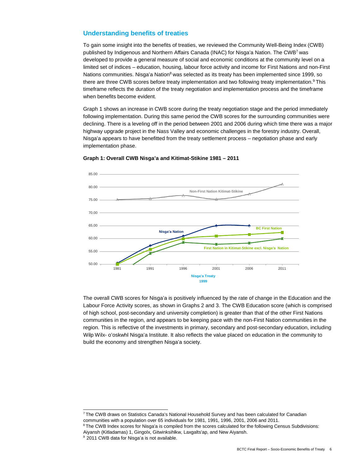# **Understanding benefits of treaties**

To gain some insight into the benefits of treaties, we reviewed the Community Well-Being Index (CWB) published by Indigenous and Northern Affairs Canada (INAC) for Nisga'a Nation. The CW[B7](#page-11-0) was developed to provide a general measure of social and economic conditions at the community level on a limited set of indices – education, housing, labour force activity and income for First Nations and non-First Nations communities. Nisga'a Nation $8$  was selected as its treaty has been implemented since 1999, so there are three CWB scores before treaty implementation and two following treaty implementation.<sup>9</sup> This timeframe reflects the duration of the treaty negotiation and implementation process and the timeframe when benefits become evident.

Graph 1 shows an increase in CWB score during the treaty negotiation stage and the period immediately following implementation. During this same period the CWB scores for the surrounding communities were declining. There is a leveling off in the period between 2001 and 2006 during which time there was a major highway upgrade project in the Nass Valley and economic challenges in the forestry industry. Overall, Nisga'a appears to have benefitted from the treaty settlement process – negotiation phase and early implementation phase.



#### **Graph 1: Overall CWB Nisga'a and Kitimat-Stikine 1981 – 2011**

The overall CWB scores for Nisga'a is positively influenced by the rate of change in the Education and the Labour Force Activity scores, as shown in Graphs 2 and 3. The CWB Education score (which is comprised of high school, post-secondary and university completion) is greater than that of the other First Nations communities in the region, and appears to be keeping pace with the non-First Nation communities in the region. This is reflective of the investments in primary, secondary and post-secondary education, including Wilp Wilx- o'oskwhl Nisga'a Institute. It also reflects the value placed on education in the community to build the economy and strengthen Nisga'a society.

<span id="page-11-0"></span><sup>7</sup> The CWB draws on Statistics Canada's National Household Survey and has been calculated for Canadian communities with a population over 65 individuals for 1981, 1991, 1996, 2001, 2006 and 2011.

<span id="page-11-1"></span><sup>&</sup>lt;sup>8</sup> The CWB Index scores for Nisga'a is compiled from the scores calculated for the following Census Subdivisions: Aiyansh (Kitladamas) 1, Gingolx, Gitwinksihlkw, Laxgalts'ap, and New Aiyansh.

<span id="page-11-2"></span><sup>&</sup>lt;sup>9</sup> 2011 CWB data for Nisga'a is not available.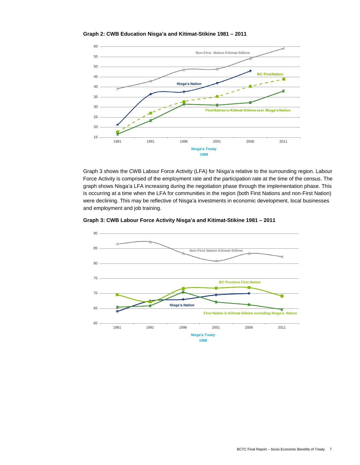

**Graph 2: CWB Education Nisga'a and Kitimat-Stikine 1981 – 2011**

Graph 3 shows the CWB Labour Force Activity (LFA) for Nisga'a relative to the surrounding region. Labour Force Activity is comprised of the employment rate and the participation rate at the time of the census. The graph shows Nisga'a LFA increasing during the negotiation phase through the implementation phase. This is occurring at a time when the LFA for communities in the region (both First Nations and non-First Nation) were declining. This may be reflective of Nisga'a investments in economic development, local businesses and employment and job training.



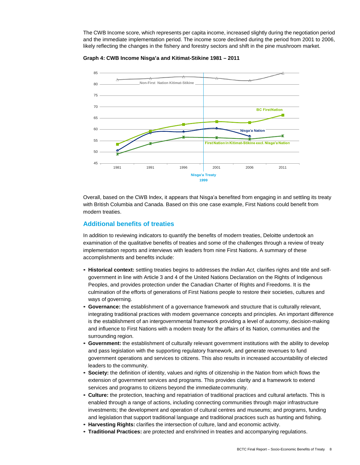The CWB Income score, which represents per capita income, increased slightly during the negotiation period and the immediate implementation period. The income score declined during the period from 2001 to 2006, likely reflecting the changes in the fishery and forestry sectors and shift in the pine mushroom market.



**Graph 4: CWB Income Nisga'a and Kitimat-Stikine 1981 – 2011**

Overall, based on the CWB Index, it appears that Nisga'a benefited from engaging in and settling its treaty with British Columbia and Canada. Based on this one case example, First Nations could benefit from modern treaties.

# **Additional benefits of treaties**

In addition to reviewing indicators to quantify the benefits of modern treaties, Deloitte undertook an examination of the qualitative benefits of treaties and some of the challenges through a review of treaty implementation reports and interviews with leaders from nine First Nations. A summary of these accomplishments and benefits include:

- **Historical context:** settling treaties begins to addresses the *Indian Act,* clarifies rights and title and selfgovernment in line with Article 3 and 4 of the United Nations Declaration on the Rights of Indigenous Peoples, and provides protection under the Canadian Charter of Rights and Freedoms. It is the culmination of the efforts of generations of First Nations people to restore their societies, cultures and ways of governing.
- **Governance:** the establishment of a governance framework and structure that is culturally relevant, integrating traditional practices with modern governance concepts and principles. An important difference is the establishment of an intergovernmental framework providing a level of autonomy, decision-making and influence to First Nations with a modern treaty for the affairs of its Nation, communities and the surrounding region.
- **Government:** the establishment of culturally relevant government institutions with the ability to develop and pass legislation with the supporting regulatory framework, and generate revenues to fund government operations and services to citizens. This also results in increased accountability of elected leaders to the community.
- **Society:** the definition of identity, values and rights of citizenship in the Nation from which flows the extension of government services and programs. This provides clarity and a framework to extend services and programs to citizens beyond the immediate community.
- **Culture:** the protection, teaching and repatriation of traditional practices and cultural artefacts. This is enabled through a range of actions, including connecting communities through major infrastructure investments; the development and operation of cultural centres and museums; and programs, funding and legislation that support traditional language and traditional practices such as hunting and fishing.
- **Harvesting Rights:** clarifies the intersection of culture, land and economic activity.
- **Traditional Practices:** are protected and enshrined in treaties and accompanying regulations.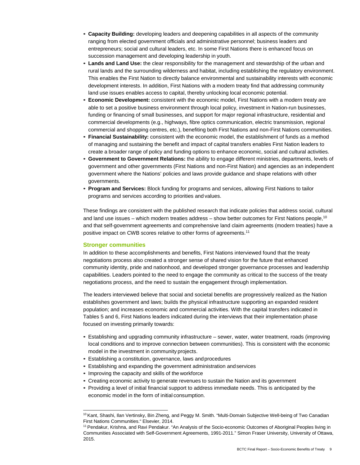- **Capacity Building:** developing leaders and deepening capabilities in all aspects of the community ranging from elected government officials and administrative personnel; business leaders and entrepreneurs; social and cultural leaders, etc. In some First Nations there is enhanced focus on succession management and developing leadership in youth.
- **Lands and Land Use:** the clear responsibility for the management and stewardship of the urban and rural lands and the surrounding wilderness and habitat, including establishing the regulatory environment. This enables the First Nation to directly balance environmental and sustainability interests with economic development interests. In addition, First Nations with a modern treaty find that addressing community land use issues enables access to capital, thereby unlocking local economic potential.
- **Economic Development:** consistent with the economic model, First Nations with a modern treaty are able to set a positive business environment through local policy, investment in Nation-run businesses, funding or financing of small businesses, and support for major regional infrastructure, residential and commercial developments (e.g., highways, fibre optics communication, electric transmission, regional commercial and shopping centres, etc.), benefiting both First Nations and non-First Nations communities.
- **Financial Sustainability:** consistent with the economic model, the establishment of funds as a method of managing and sustaining the benefit and impact of capital transfers enables First Nation leaders to create a broader range of policy and funding options to enhance economic, social and cultural activities.
- **Government to Government Relations:** the ability to engage different ministries, departments, levels of government and other governments (First Nations and non-First Nation) and agencies as an independent government where the Nations' policies and laws provide guidance and shape relations with other governments.
- **Program and Services:** Block funding for programs and services, allowing First Nations to tailor programs and services according to priorities and values.

These findings are consistent with the published research that indicate policies that address social, cultural and land use issues – which modern treaties address – show better outcomes for First Nations people,<sup>10</sup> and that self-government agreements and comprehensive land claim agreements (modern treaties) have a positive impact on CWB scores relative to other forms of agreements[.11](#page-14-1)

#### **Stronger communities**

In addition to these accomplishments and benefits, First Nations interviewed found that the treaty negotiations process also created a stronger sense of shared vision for the future that enhanced community identity, pride and nationhood, and developed stronger governance processes and leadership capabilities. Leaders pointed to the need to engage the community as critical to the success of the treaty negotiations process, and the need to sustain the engagement through implementation.

The leaders interviewed believe that social and societal benefits are progressively realized as the Nation establishes government and laws; builds the physical infrastructure supporting an expanded resident population; and increases economic and commercial activities. With the capital transfers indicated in Tables 5 and 6, First Nations leaders indicated during the interviews that their implementation phase focused on investing primarily towards:

- Establishing and upgrading community infrastructure sewer, water, water treatment, roads (improving local conditions and to improve connection between communities). This is consistent with the economic model in the investment in community projects.
- Establishing a constitution, governance, laws andprocedures
- Establishing and expanding the government administration andservices
- Improving the capacity and skills of the workforce
- Creating economic activity to generate revenues to sustain the Nation and its government
- Providing a level of initial financial support to address immediate needs. This is anticipated by the economic model in the form of initial consumption.

<span id="page-14-0"></span><sup>&</sup>lt;sup>10</sup> Kant, Shashi, Ilan Vertinsky, Bin Zheng, and Peggy M. Smith. "Multi-Domain Subjective Well-being of Two Canadian First Nations Communities." Elsevier, 2014.

<span id="page-14-1"></span><sup>11</sup> Pendakur, Krishna, and Ravi Pendakur. "An Analysis of the Socio-economic Outcomes of Aboriginal Peoples living in Communities Associated with Self-Government Agreements, 1991-2011." Simon Fraser University, University of Ottawa, 2015.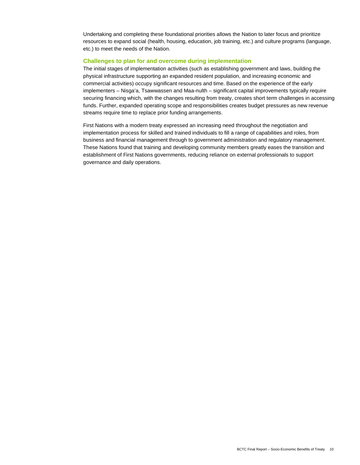Undertaking and completing these foundational priorities allows the Nation to later focus and prioritize resources to expand social (health, housing, education, job training, etc.) and culture programs (language, etc.) to meet the needs of the Nation.

#### **Challenges to plan for and overcome during implementation**

The initial stages of implementation activities (such as establishing government and laws, building the physical infrastructure supporting an expanded resident population, and increasing economic and commercial activities) occupy significant resources and time. Based on the experience of the early implementers – Nisga'a, Tsawwassen and Maa-nulth – significant capital improvements typically require securing financing which, with the changes resulting from treaty, creates short term challenges in accessing funds. Further, expanded operating scope and responsibilities creates budget pressures as new revenue streams require time to replace prior funding arrangements.

First Nations with a modern treaty expressed an increasing need throughout the negotiation and implementation process for skilled and trained individuals to fill a range of capabilities and roles, from business and financial management through to government administration and regulatory management. These Nations found that training and developing community members greatly eases the transition and establishment of First Nations governments, reducing reliance on external professionals to support governance and daily operations.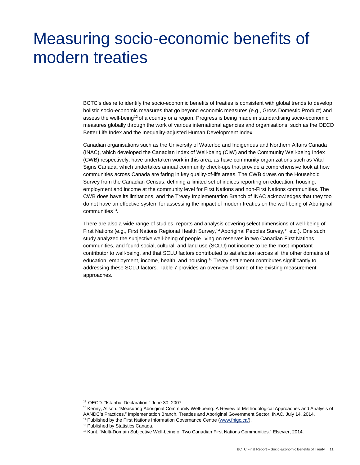# <span id="page-16-0"></span>Measuring socio-economic benefits of modern treaties

BCTC's desire to identify the socio-economic benefits of treaties is consistent with global trends to develop holistic socio-economic measures that go beyond economic measures (e.g., Gross Domestic Product) and assess the well-bein[g12](#page-16-1) of a country or a region. Progress is being made in standardising socio-economic measures globally through the work of various international agencies and organisations, such as the OECD Better Life Index and the Inequality-adjusted Human Development Index.

Canadian organisations such as the University of Waterloo and Indigenous and Northern Affairs Canada (INAC), which developed the Canadian Index of Well-being (CIW) and the Community Well-being Index (CWB) respectively, have undertaken work in this area, as have community organizations such as Vital Signs Canada, which undertakes annual community check-ups that provide a comprehensive look at how communities across Canada are faring in key quality-of-life areas. The CWB draws on the Household Survey from the Canadian Census, defining a limited set of indices reporting on education, housing, employment and income at the community level for First Nations and non-First Nations communities. The CWB does have its limitations, and the Treaty Implementation Branch of INAC acknowledges that they too do not have an effective system for assessing the impact of modern treaties on the well-being of Aboriginal communities<sup>13</sup>.

There are also a wide range of studies, reports and analysis covering select dimensions of well-being of First Nations (e.g., First Nations Regional Health Survey,<sup>14</sup> Aboriginal Peoples Survey,<sup>15</sup> etc.). One such study analyzed the subjective well-being of people living on reserves in two Canadian First Nations communities, and found social, cultural, and land use (SCLU) not income to be the most important contributor to well-being, and that SCLU factors contributed to satisfaction across all the other domains of education, employment, income, health, and housing[.16](#page-16-5) Treaty settlement contributes significantly to addressing these SCLU factors. Table 7 provides an overview of some of the existing measurement approaches.

<span id="page-16-3"></span><sup>14</sup> Published by the First Nations Information Governance Centr[e \(www.fnigc.ca/\).](http://www.fnigc.ca/)

<span id="page-16-1"></span><sup>12</sup> OECD. "Istanbul Declaration." June 30, 2007.

<span id="page-16-2"></span><sup>&</sup>lt;sup>13</sup> Kenny, Alison. "Measuring Aboriginal Community Well-being: A Review of Methodological Approaches and Analysis of AANDC's Practices." Implementation Branch, Treaties and Aboriginal Government Sector, INAC. July 14, 2014.

<span id="page-16-4"></span><sup>&</sup>lt;sup>15</sup> Published by Statistics Canada.

<span id="page-16-5"></span><sup>&</sup>lt;sup>16</sup> Kant. "Multi-Domain Subjective Well-being of Two Canadian First Nations Communities." Elsevier, 2014.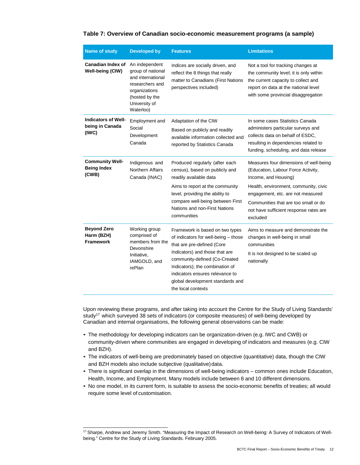| <b>Name of study</b>                                   | <b>Developed by</b>                                                                                                                          | <b>Features</b>                                                                                                                                                                                                                                                                                          | <b>Limitations</b>                                                                                                                                                                                                                                                               |
|--------------------------------------------------------|----------------------------------------------------------------------------------------------------------------------------------------------|----------------------------------------------------------------------------------------------------------------------------------------------------------------------------------------------------------------------------------------------------------------------------------------------------------|----------------------------------------------------------------------------------------------------------------------------------------------------------------------------------------------------------------------------------------------------------------------------------|
| <b>Canadian Index of</b><br>Well-being (CIW)           | An independent<br>group of national<br>and international<br>researchers and<br>organizations<br>(hosted by the<br>University of<br>Waterloo) | Indices are socially driven, and<br>reflect the 8 things that really<br>matter to Canadians (First Nations<br>perspectives included)                                                                                                                                                                     | Not a tool for tracking changes at<br>the community level; it is only within<br>the current capacity to collect and<br>report on data at the national level<br>with some provincial disaggregation                                                                               |
| <b>Indicators of Well-</b><br>being in Canada<br>(IWC) | Employment and<br>Social<br>Development<br>Canada                                                                                            | Adaptation of the CIW<br>Based on publicly and readily<br>available information collected and<br>reported by Statistics Canada                                                                                                                                                                           | In some cases Statistics Canada<br>administers particular surveys and<br>collects data on behalf of ESDC,<br>resulting in dependencies related to<br>funding, scheduling, and data release                                                                                       |
| <b>Community Well-</b><br><b>Being Index</b><br>(CWB)  | Indigenous and<br>Northern Affairs<br>Canada (INAC)                                                                                          | Produced regularly (after each<br>census), based on publicly and<br>readily available data<br>Aims to report at the community<br>level, providing the ability to<br>compare well-being between First<br>Nations and non-First Nations<br>communities                                                     | Measures four dimensions of well-being<br>(Education, Labour Force Activity,<br>Income, and Housing)<br>Health, environment, community, civic<br>engagement, etc. are not measured<br>Communities that are too small or do<br>not have sufficient response rates are<br>excluded |
| <b>Beyond Zero</b><br>Harm (BZH)<br><b>Framework</b>   | Working group<br>comprised of<br>members from the<br>Devonshire<br>Initiative,<br>IAMGOLD, and<br>rePlan                                     | Framework is based on two types<br>of indicators for well-being - those<br>that are pre-defined (Core<br>Indicators) and those that are<br>community-defined (Co-Created<br>Indicators); the combination of<br>indicators ensures relevance to<br>global development standards and<br>the local contexts | Aims to measure and demonstrate the<br>changes in well-being in small<br>communities<br>It is not designed to be scaled up<br>nationally                                                                                                                                         |

### **Table 7: Overview of Canadian socio-economic measurement programs (a sample)**

Upon reviewing these programs, and after taking into account the Centre for the Study of Living Standards' study<sup>17</sup> which surveyed 38 sets of indicators (or composite measures) of well-being developed by Canadian and internal organisations, the following general observations can be made:

- The methodology for developing indicators can be organization-driven (e.g. IWC and CWB) or community-driven where communities are engaged in developing of indicators and measures (e.g. CIW and BZH).
- The indicators of well-being are predominately based on objective (quantitative) data, though the CIW and BZH models also include subjective (qualitative) data.
- There is significant overlap in the dimensions of well-being indicators common ones include Education, Health, Income, and Employment. Many models include between 8 and 10 different dimensions.
- No one model, in its current form, is suitable to assess the socio-economic benefits of treaties; all would require some level of customisation.

<span id="page-17-0"></span><sup>17</sup> Sharpe, Andrew and Jeremy Smith. "Measuring the Impact of Research on Well-being: A Survey of Indicators of Wellbeing." Centre for the Study of Living Standards. February 2005.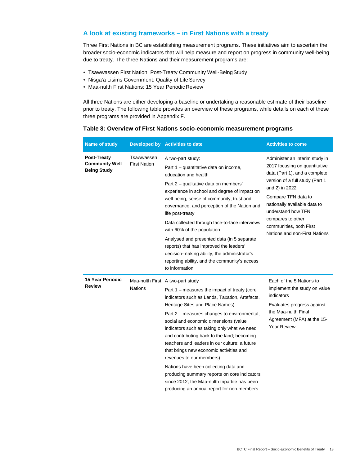# **A look at existing frameworks – in First Nations with a treaty**

Three First Nations in BC are establishing measurement programs. These initiatives aim to ascertain the broader socio-economic indicators that will help measure and report on progress in community well-being due to treaty. The three Nations and their measurement programs are:

- Tsawwassen First Nation: Post-Treaty Community Well-Being Study
- Nisga'a Lisims Government: Quality of Life Survey
- Maa-nulth First Nations: 15 Year Periodic Review

All three Nations are either developing a baseline or undertaking a reasonable estimate of their baseline prior to treaty. The following table provides an overview of these programs, while details on each of these three programs are provided in Appendix F.

| Table 8: Overview of First Nations socio-economic measurement programs |  |
|------------------------------------------------------------------------|--|
|------------------------------------------------------------------------|--|

| Name of study                                                      |                                   | Developed by Activities to date                                                                                                                                                                                                                                                                                                                                                                                                                                                                                                                                                                                                                                             | <b>Activities to come</b>                                                                                                                                                                                                                                                                                           |
|--------------------------------------------------------------------|-----------------------------------|-----------------------------------------------------------------------------------------------------------------------------------------------------------------------------------------------------------------------------------------------------------------------------------------------------------------------------------------------------------------------------------------------------------------------------------------------------------------------------------------------------------------------------------------------------------------------------------------------------------------------------------------------------------------------------|---------------------------------------------------------------------------------------------------------------------------------------------------------------------------------------------------------------------------------------------------------------------------------------------------------------------|
| <b>Post-Treaty</b><br><b>Community Well-</b><br><b>Being Study</b> | Tsawwassen<br><b>First Nation</b> | A two-part study:<br>Part 1 - quantitative data on income,<br>education and health<br>Part 2 - qualitative data on members'<br>experience in school and degree of impact on<br>well-being, sense of community, trust and<br>governance, and perception of the Nation and<br>life post-treaty<br>Data collected through face-to-face interviews<br>with 60% of the population<br>Analysed and presented data (in 5 separate<br>reports) that has improved the leaders'<br>decision-making ability, the administrator's<br>reporting ability, and the community's access<br>to information                                                                                    | Administer an interim study in<br>2017 focusing on quantitative<br>data (Part 1), and a complete<br>version of a full study (Part 1<br>and 2) in 2022<br>Compare TFN data to<br>nationally available data to<br>understand how TFN<br>compares to other<br>communities, both First<br>Nations and non-First Nations |
| 15 Year Periodic<br><b>Review</b>                                  | <b>Nations</b>                    | Maa-nulth First A two-part study<br>Part 1 – measures the impact of treaty (core<br>indicators such as Lands, Taxation, Artefacts,<br>Heritage Sites and Place Names)<br>Part 2 – measures changes to environmental,<br>social and economic dimensions (value<br>indicators such as taking only what we need<br>and contributing back to the land; becoming<br>teachers and leaders in our culture; a future<br>that brings new economic activities and<br>revenues to our members)<br>Nations have been collecting data and<br>producing summary reports on core indicators<br>since 2012; the Maa-nulth tripartite has been<br>producing an annual report for non-members | Each of the 5 Nations to<br>implement the study on value<br>indicators<br>Evaluates progress against<br>the Maa-nulth Final<br>Agreement (MFA) at the 15-<br><b>Year Review</b>                                                                                                                                     |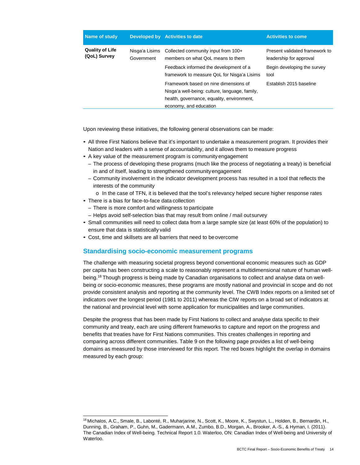| Name of study                          |                              | Developed by Activities to date                                                                                                                                   | <b>Activities to come</b>                                                                        |
|----------------------------------------|------------------------------|-------------------------------------------------------------------------------------------------------------------------------------------------------------------|--------------------------------------------------------------------------------------------------|
| <b>Quality of Life</b><br>(QoL) Survey | Nisga'a Lisims<br>Government | Collected community input from 100+<br>members on what OoL means to them<br>Feedback informed the development of a<br>framework to measure QoL for Nisga'a Lisims | Present validated framework to<br>leadership for approval<br>Begin developing the survey<br>tool |
|                                        |                              | Framework based on nine dimensions of<br>Nisga'a well-being: culture, language, family,<br>health, governance, equality, environment,<br>economy, and education   | Establish 2015 baseline                                                                          |

Upon reviewing these initiatives, the following general observations can be made:

- All three First Nations believe that it's important to undertake a measurement program. It provides their Nation and leaders with a sense of accountability, and it allows them to measure progress
- A key value of the measurement program is community engagement
	- The process of developing these programs (much like the process of negotiating a treaty) is beneficial in and of itself, leading to strengthened communityengagement
	- Community involvement in the indicator development process has resulted in a tool that reflects the interests of the community
- o In the case of TFN, it is believed that the tool's relevancy helped secure higher response rates • There is a bias for face-to-face data collection
	- There is more comfort and willingness to participate
	- Helps avoid self-selection bias that may result from online / mail outsurvey
- Small communities will need to collect data from a large sample size (at least 60% of the population) to ensure that data is statistically valid
- Cost, time and skillsets are all barriers that need to beovercome

### **Standardising socio-economic measurement programs**

The challenge with measuring societal progress beyond conventional economic measures such as GDP per capita has been constructing a scale to reasonably represent a multidimensional nature of human wellbeing[.18](#page-19-0) Though progress is being made by Canadian organisations to collect and analyse data on wellbeing or socio-economic measures, these programs are mostly national and provincial in scope and do not provide consistent analysis and reporting at the community level. The CWB Index reports on a limited set of indicators over the longest period (1981 to 2011) whereas the CIW reports on a broad set of indicators at the national and provincial level with some application for municipalities and large communities.

Despite the progress that has been made by First Nations to collect and analyse data specific to their community and treaty, each are using different frameworks to capture and report on the progress and benefits that treaties have for First Nations communities. This creates challenges in reporting and comparing across different communities. Table 9 on the following page provides a list of well-being domains as measured by those interviewed for this report. The red boxes highlight the overlap in domains measured by each group:

<span id="page-19-0"></span><sup>18</sup> Michalos, A.C., Smale, B., Labonté, R., Muharjarine, N., Scott, K., Moore, K., Swystun, L., Holden, B., Bernardin, H., Dunning, B., Graham, P., Guhn, M., Gadermann, A.M., Zumbo, B.D., Morgan, A., Brooker, A.-S., & Hyman, I. (2011). The Canadian Index of Well-being. Technical Report 1.0. Waterloo, ON: Canadian Index of Well-being and University of Waterloo.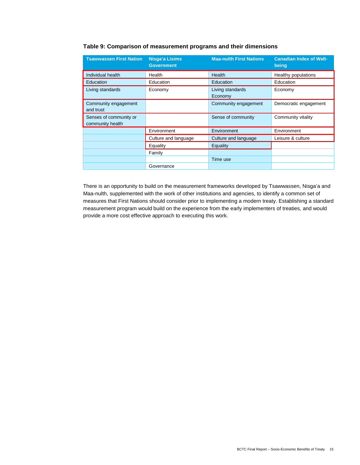| <b>Tsawwassen First Nation</b>             | <b>Nisga'a Lisims</b><br><b>Government</b> | <b>Maa-nulth First Nations</b> | <b>Canadian Index of Well-</b><br>being |
|--------------------------------------------|--------------------------------------------|--------------------------------|-----------------------------------------|
| Individual health                          | Health                                     | Health                         | Healthy populations                     |
| <b>Education</b>                           | Education                                  | Education                      | Education                               |
| Living standards                           | Economy                                    | Living standards<br>Economy    | Economy                                 |
| Community engagement<br>and trust          |                                            | Community engagement           | Democratic engagement                   |
| Senses of community or<br>community health |                                            | Sense of community             | Community vitality                      |
|                                            | Environment                                | Environment                    | Environment                             |
|                                            | Culture and language                       | Culture and language           | Leisure & culture                       |
|                                            | Equality                                   | Equality                       |                                         |
|                                            | Family                                     |                                |                                         |
|                                            |                                            | Time use                       |                                         |
|                                            | Governance                                 |                                |                                         |

There is an opportunity to build on the measurement frameworks developed by Tsawwassen, Nisga'a and Maa-nulth, supplemented with the work of other institutions and agencies, to identify a common set of measures that First Nations should consider prior to implementing a modern treaty. Establishing a standard measurement program would build on the experience from the early implementers of treaties, and would provide a more cost effective approach to executing this work.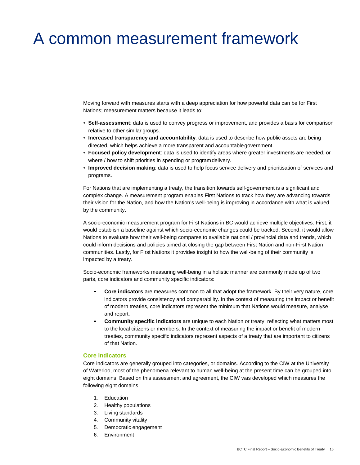# <span id="page-21-0"></span>A common measurement framework

Moving forward with measures starts with a deep appreciation for how powerful data can be for First Nations; measurement matters because it leads to:

- **Self-assessment**: data is used to convey progress or improvement, and provides a basis for comparison relative to other similar groups.
- **Increased transparency and accountability**: data is used to describe how public assets are being directed, which helps achieve a more transparent and accountablegovernment.
- **Focused policy development**: data is used to identify areas where greater investments are needed, or where / how to shift priorities in spending or programdelivery.
- **Improved decision making**: data is used to help focus service delivery and prioritisation of services and programs.

For Nations that are implementing a treaty, the transition towards self-government is a significant and complex change. A measurement program enables First Nations to track how they are advancing towards their vision for the Nation, and how the Nation's well-being is improving in accordance with what is valued by the community.

A socio-economic measurement program for First Nations in BC would achieve multiple objectives. First, it would establish a baseline against which socio-economic changes could be tracked. Second, it would allow Nations to evaluate how their well-being compares to available national / provincial data and trends, which could inform decisions and policies aimed at closing the gap between First Nation and non-First Nation communities. Lastly, for First Nations it provides insight to how the well-being of their community is impacted by a treaty.

Socio-economic frameworks measuring well-being in a holistic manner are commonly made up of two parts, core indicators and community specific indicators:

- **Core indicators** are measures common to all that adopt the framework. By their very nature, core indicators provide consistency and comparability. In the context of measuring the impact or benefit of modern treaties, core indicators represent the minimum that Nations would measure, analyse and report.
- **Community specific indicators** are unique to each Nation or treaty, reflecting what matters most to the local citizens or members. In the context of measuring the impact or benefit of modern treaties, community specific indicators represent aspects of a treaty that are important to citizens of that Nation.

#### **Core indicators**

Core indicators are generally grouped into categories, or domains. According to the CIW at the University of Waterloo, most of the phenomena relevant to human well-being at the present time can be grouped into eight domains. Based on this assessment and agreement, the CIW was developed which measures the following eight domains:

- 1. Education
- 2. Healthy populations
- 3. Living standards
- 4. Community vitality
- 5. Democratic engagement
- 6. Environment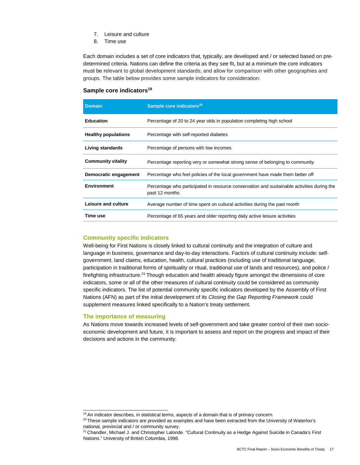- 7. Leisure and culture
- 8. Time use

Each domain includes a set of core indicators that, typically, are developed and / or selected based on predetermined criteria. Nations can define the criteria as they see fit, but at a minimum the core indicators must be relevant to global development standards; and allow for comparison with other geographies and groups. The table below provides some sample indicators for consideration:

#### **Sample core indicators<sup>19</sup>**

| <b>Domain</b>              | Sample core indicators <sup>20</sup>                                                                         |
|----------------------------|--------------------------------------------------------------------------------------------------------------|
| <b>Education</b>           | Percentage of 20 to 24 year olds in population completing high school                                        |
| <b>Healthy populations</b> | Percentage with self-reported diabetes                                                                       |
| Living standards           | Percentage of persons with low incomes                                                                       |
| <b>Community vitality</b>  | Percentage reporting very or somewhat strong sense of belonging to community                                 |
| Democratic engagement      | Percentage who feel policies of the local government have made them better off                               |
| <b>Environment</b>         | Percentage who participated in resource conservation and sustainable activities during the<br>past 12 months |
| Leisure and culture        | Average number of time spent on cultural activities during the past month                                    |
| Time use                   | Percentage of 65 years and older reporting daily active leisure activities                                   |

#### **Community specific indicators**

Well-being for First Nations is closely linked to cultural continuity and the integration of culture and language in business, governance and day-to-day interactions. Factors of cultural continuity include: selfgovernment, land claims, education, health, cultural practices (including use of traditional language, participation in traditional forms of spirituality or ritual, traditional use of lands and resources), and police / firefighting infrastructur[e.21](#page-22-2) Though education and health already figure amongst the dimensions of core indicators, some or all of the other measures of cultural continuity could be considered as community specific indicators. The list of potential community specific indicators developed by the Assembly of First Nations (AFN) as part of the initial development of its *Closing the Gap Reporting Framework* could supplement measures linked specifically to a Nation's treaty settlement.

#### **The importance of measuring**

As Nations move towards increased levels of self-government and take greater control of their own socioeconomic development and future, it is important to assess and report on the progress and impact of their decisions and actions in the community.

<sup>&</sup>lt;sup>19</sup> An indicator describes, in statistical terms, aspects of a domain that is of primary concern.

<span id="page-22-1"></span><span id="page-22-0"></span> $20$  These sample indicators are provided as examples and have been extracted from the University of Waterloo's national, provincial and / or community survey.

<span id="page-22-2"></span><sup>&</sup>lt;sup>21</sup> Chandler, Michael J. and Christopher Lalonde. "Cultural Continuity as a Hedge Against Suicide in Canada's First Nations." University of British Columbia, 1998.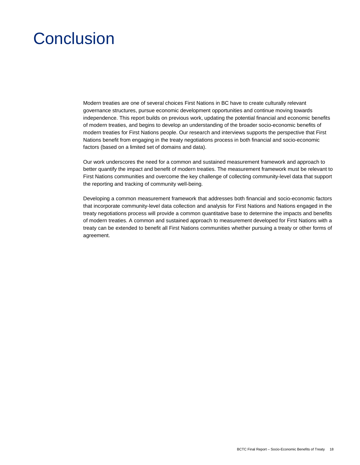# <span id="page-23-0"></span>Conclusion

Modern treaties are one of several choices First Nations in BC have to create culturally relevant governance structures, pursue economic development opportunities and continue moving towards independence. This report builds on previous work, updating the potential financial and economic benefits of modern treaties, and begins to develop an understanding of the broader socio-economic benefits of modern treaties for First Nations people. Our research and interviews supports the perspective that First Nations benefit from engaging in the treaty negotiations process in both financial and socio-economic factors (based on a limited set of domains and data).

Our work underscores the need for a common and sustained measurement framework and approach to better quantify the impact and benefit of modern treaties. The measurement framework must be relevant to First Nations communities and overcome the key challenge of collecting community-level data that support the reporting and tracking of community well-being.

Developing a common measurement framework that addresses both financial and socio-economic factors that incorporate community-level data collection and analysis for First Nations and Nations engaged in the treaty negotiations process will provide a common quantitative base to determine the impacts and benefits of modern treaties. A common and sustained approach to measurement developed for First Nations with a treaty can be extended to benefit all First Nations communities whether pursuing a treaty or other forms of agreement.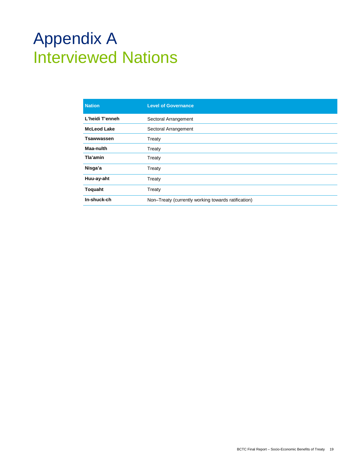# <span id="page-24-0"></span>Appendix A Interviewed Nations

| <b>Level of Governance</b>                          |
|-----------------------------------------------------|
| Sectoral Arrangement                                |
| Sectoral Arrangement                                |
| Treaty                                              |
| Treaty                                              |
| Treaty                                              |
| Treaty                                              |
| Treaty                                              |
| Treaty                                              |
| Non-Treaty (currently working towards ratification) |
|                                                     |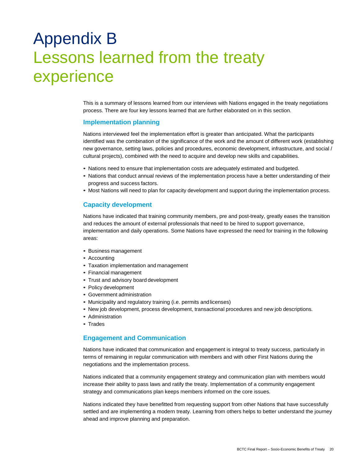# <span id="page-25-0"></span>Appendix B Lessons learned from the treaty experience

This is a summary of lessons learned from our interviews with Nations engaged in the treaty negotiations process. There are four key lessons learned that are further elaborated on in this section.

### **Implementation planning**

Nations interviewed feel the implementation effort is greater than anticipated. What the participants identified was the combination of the significance of the work and the amount of different work (establishing new governance, setting laws, policies and procedures, economic development, infrastructure, and social / cultural projects), combined with the need to acquire and develop new skills and capabilities.

- Nations need to ensure that implementation costs are adequately estimated and budgeted.
- Nations that conduct annual reviews of the implementation process have a better understanding of their progress and success factors.
- Most Nations will need to plan for capacity development and support during the implementation process.

#### **Capacity development**

Nations have indicated that training community members, pre and post-treaty, greatly eases the transition and reduces the amount of external professionals that need to be hired to support governance, implementation and daily operations. Some Nations have expressed the need for training in the following areas:

- Business management
- Accounting
- Taxation implementation and management
- Financial management
- Trust and advisory board development
- Policy development
- Government administration
- Municipality and regulatory training (i.e. permits andlicenses)
- New job development, process development, transactional procedures and new job descriptions.
- Administration
- Trades

## **Engagement and Communication**

Nations have indicated that communication and engagement is integral to treaty success, particularly in terms of remaining in regular communication with members and with other First Nations during the negotiations and the implementation process.

Nations indicated that a community engagement strategy and communication plan with members would increase their ability to pass laws and ratify the treaty. Implementation of a community engagement strategy and communications plan keeps members informed on the core issues.

Nations indicated they have benefitted from requesting support from other Nations that have successfully settled and are implementing a modern treaty. Learning from others helps to better understand the journey ahead and improve planning and preparation.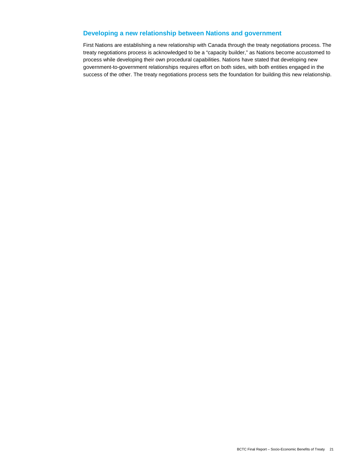# **Developing a new relationship between Nations and government**

First Nations are establishing a new relationship with Canada through the treaty negotiations process. The treaty negotiations process is acknowledged to be a "capacity builder," as Nations become accustomed to process while developing their own procedural capabilities. Nations have stated that developing new government-to-government relationships requires effort on both sides, with both entities engaged in the success of the other. The treaty negotiations process sets the foundation for building this new relationship.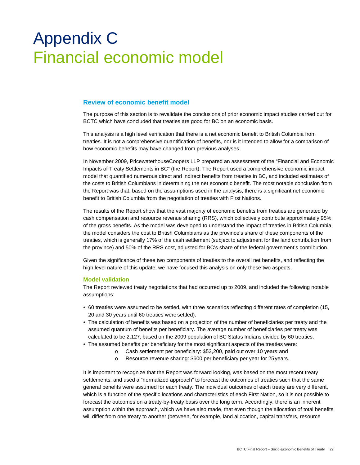# <span id="page-27-0"></span>Appendix C Financial economic model

# **Review of economic benefit model**

The purpose of this section is to revalidate the conclusions of prior economic impact studies carried out for BCTC which have concluded that treaties are good for BC on an economic basis.

This analysis is a high level verification that there is a net economic benefit to British Columbia from treaties. It is not a comprehensive quantification of benefits, nor is it intended to allow for a comparison of how economic benefits may have changed from previous analyses.

In November 2009, PricewaterhouseCoopers LLP prepared an assessment of the "Financial and Economic Impacts of Treaty Settlements in BC" (the Report). The Report used a comprehensive economic impact model that quantified numerous direct and indirect benefits from treaties in BC, and included estimates of the costs to British Columbians in determining the net economic benefit. The most notable conclusion from the Report was that, based on the assumptions used in the analysis, there is a significant net economic benefit to British Columbia from the negotiation of treaties with First Nations.

The results of the Report show that the vast majority of economic benefits from treaties are generated by cash compensation and resource revenue sharing (RRS), which collectively contribute approximately 95% of the gross benefits. As the model was developed to understand the impact of treaties in British Columbia, the model considers the cost to British Columbians as the province's share of these components of the treaties, which is generally 17% of the cash settlement (subject to adjustment for the land contribution from the province) and 50% of the RRS cost, adjusted for BC's share of the federal government's contribution.

Given the significance of these two components of treaties to the overall net benefits, and reflecting the high level nature of this update, we have focused this analysis on only these two aspects.

#### **Model validation**

The Report reviewed treaty negotiations that had occurred up to 2009, and included the following notable assumptions:

- 60 treaties were assumed to be settled, with three scenarios reflecting different rates of completion (15, 20 and 30 years until 60 treaties were settled).
- The calculation of benefits was based on a projection of the number of beneficiaries per treaty and the assumed quantum of benefits per beneficiary. The average number of beneficiaries per treaty was calculated to be 2,127, based on the 2009 population of BC Status Indians divided by 60 treaties.
- The assumed benefits per beneficiary for the most significant aspects of the treaties were:
	- o Cash settlement per beneficiary: \$53,200, paid out over 10 years;and
	- o Resource revenue sharing: \$600 per beneficiary per year for 25years.

It is important to recognize that the Report was forward looking, was based on the most recent treaty settlements, and used a "normalized approach" to forecast the outcomes of treaties such that the same general benefits were assumed for each treaty. The individual outcomes of each treaty are very different, which is a function of the specific locations and characteristics of each First Nation, so it is not possible to forecast the outcomes on a treaty-by-treaty basis over the long term. Accordingly, there is an inherent assumption within the approach, which we have also made, that even though the allocation of total benefits will differ from one treaty to another (between, for example, land allocation, capital transfers, resource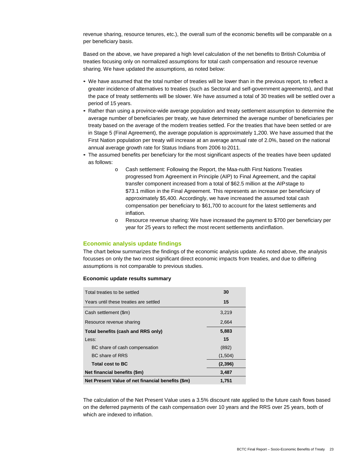revenue sharing, resource tenures, etc.), the overall sum of the economic benefits will be comparable on a per beneficiary basis.

Based on the above, we have prepared a high level calculation of the net benefits to British Columbia of treaties focusing only on normalized assumptions for total cash compensation and resource revenue sharing. We have updated the assumptions, as noted below:

- We have assumed that the total number of treaties will be lower than in the previous report, to reflect a greater incidence of alternatives to treaties (such as Sectoral and self-government agreements), and that the pace of treaty settlements will be slower. We have assumed a total of 30 treaties will be settled over a period of 15 years.
- Rather than using a province-wide average population and treaty settlement assumption to determine the average number of beneficiaries per treaty, we have determined the average number of beneficiaries per treaty based on the average of the modern treaties settled. For the treaties that have been settled or are in Stage 5 (Final Agreement), the average population is approximately 1,200. We have assumed that the First Nation population per treaty will increase at an average annual rate of 2.0%, based on the national annual average growth rate for Status Indians from 2006 to 2011.
- The assumed benefits per beneficiary for the most significant aspects of the treaties have been updated as follows:
	- o Cash settlement: Following the Report, the Maa-nulth First Nations Treaties progressed from Agreement in Principle (AIP) to Final Agreement, and the capital transfer component increased from a total of \$62.5 million at the AIPstage to \$73.1 million in the Final Agreement. This represents an increase per beneficiary of approximately \$5,400. Accordingly, we have increased the assumed total cash compensation per beneficiary to \$61,700 to account for the latest settlements and inflation.
	- o Resource revenue sharing: We have increased the payment to \$700 per beneficiary per year for 25 years to reflect the most recent settlements andinflation.

#### **Economic analysis update findings**

The chart below summarizes the findings of the economic analysis update. As noted above, the analysis focusses on only the two most significant direct economic impacts from treaties, and due to differing assumptions is not comparable to previous studies.

#### **Economic update results summary**

| Total treaties to be settled                      | 30      |
|---------------------------------------------------|---------|
| Years until these treaties are settled            | 15      |
| Cash settlement (\$m)                             | 3,219   |
| Resource revenue sharing                          | 2,664   |
| Total benefits (cash and RRS only)                | 5,883   |
| Less:                                             | 15      |
| BC share of cash compensation                     | (892)   |
| BC share of RRS                                   | (1,504) |
| <b>Total cost to BC</b>                           | (2,396) |
| Net financial benefits (\$m)                      | 3,487   |
| Net Present Value of net financial benefits (\$m) | 1.751   |

The calculation of the Net Present Value uses a 3.5% discount rate applied to the future cash flows based on the deferred payments of the cash compensation over 10 years and the RRS over 25 years, both of which are indexed to inflation.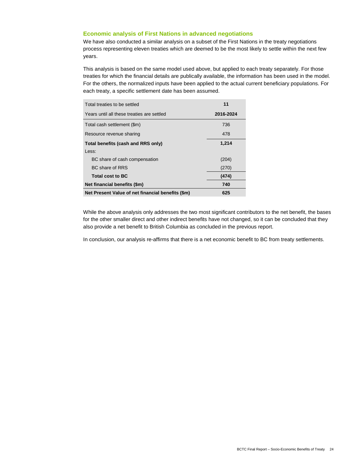#### **Economic analysis of First Nations in advanced negotiations**

We have also conducted a similar analysis on a subset of the First Nations in the treaty negotiations process representing eleven treaties which are deemed to be the most likely to settle within the next few years.

This analysis is based on the same model used above, but applied to each treaty separately. For those treaties for which the financial details are publically available, the information has been used in the model. For the others, the normalized inputs have been applied to the actual current beneficiary populations. For each treaty, a specific settlement date has been assumed.

| Total treaties to be settled                      | 11        |
|---------------------------------------------------|-----------|
| Years until all these treaties are settled        | 2016-2024 |
| Total cash settlement (\$m)                       | 736       |
| Resource revenue sharing                          | 478       |
| Total benefits (cash and RRS only)                | 1,214     |
| Less:                                             |           |
| BC share of cash compensation                     | (204)     |
| BC share of RRS                                   | (270)     |
| <b>Total cost to BC</b>                           | (474)     |
| Net financial benefits (\$m)                      | 740       |
| Net Present Value of net financial benefits (\$m) | 625       |

While the above analysis only addresses the two most significant contributors to the net benefit, the bases for the other smaller direct and other indirect benefits have not changed, so it can be concluded that they also provide a net benefit to British Columbia as concluded in the previous report.

In conclusion, our analysis re-affirms that there is a net economic benefit to BC from treaty settlements.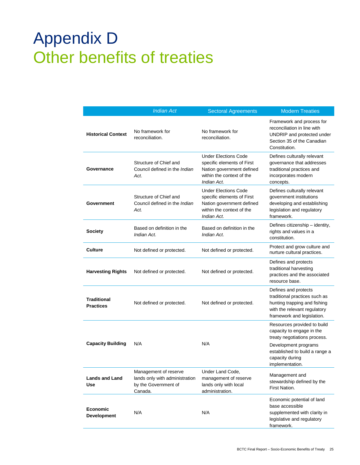# <span id="page-30-0"></span>Appendix D Other benefits of treaties

|                                        | <b>Indian Act</b>                                                                          | <b>Sectoral Agreements</b>                                                                                                         | <b>Modern Treaties</b>                                                                                                                                                                   |
|----------------------------------------|--------------------------------------------------------------------------------------------|------------------------------------------------------------------------------------------------------------------------------------|------------------------------------------------------------------------------------------------------------------------------------------------------------------------------------------|
| <b>Historical Context</b>              | No framework for<br>reconciliation.                                                        | No framework for<br>reconciliation.                                                                                                | Framework and process for<br>reconciliation in line with<br>UNDRIP and protected under<br>Section 35 of the Canadian<br>Constitution.                                                    |
| Governance                             | Structure of Chief and<br>Council defined in the <i>Indian</i><br>Act.                     | <b>Under Elections Code</b><br>specific elements of First<br>Nation government defined<br>within the context of the<br>Indian Act. | Defines culturally relevant<br>governance that addresses<br>traditional practices and<br>incorporates modern<br>concepts.                                                                |
| Government                             | Structure of Chief and<br>Council defined in the <i>Indian</i><br>Act.                     | <b>Under Elections Code</b><br>specific elements of First<br>Nation government defined<br>within the context of the<br>Indian Act. | Defines culturally relevant<br>government institutions<br>developing and establishing<br>legislation and regulatory<br>framework.                                                        |
| <b>Society</b>                         | Based on definition in the<br>Indian Act.                                                  | Based on definition in the<br>Indian Act.                                                                                          | Defines citizenship - identity,<br>rights and values in a<br>constitution.                                                                                                               |
| <b>Culture</b>                         | Not defined or protected.                                                                  | Not defined or protected.                                                                                                          | Protect and grow culture and<br>nurture cultural practices.                                                                                                                              |
| <b>Harvesting Rights</b>               | Not defined or protected.                                                                  | Not defined or protected.                                                                                                          | Defines and protects<br>traditional harvesting<br>practices and the associated<br>resource base.                                                                                         |
| <b>Traditional</b><br><b>Practices</b> | Not defined or protected.                                                                  | Not defined or protected.                                                                                                          | Defines and protects<br>traditional practices such as<br>hunting trapping and fishing<br>with the relevant regulatory<br>framework and legislation.                                      |
| <b>Capacity Building</b>               | N/A                                                                                        | N/A                                                                                                                                | Resources provided to build<br>capacity to engage in the<br>treaty negotiations process.<br>Development programs<br>established to build a range a<br>capacity during<br>implementation. |
| <b>Lands and Land</b><br>Use           | Management of reserve<br>lands only with administration<br>by the Government of<br>Canada. | Under Land Code,<br>management of reserve<br>lands only with local<br>administration.                                              | Management and<br>stewardship defined by the<br>First Nation.                                                                                                                            |
| Economic<br><b>Development</b>         | N/A                                                                                        | N/A                                                                                                                                | Economic potential of land<br>base accessible<br>supplemented with clarity in<br>legislative and regulatory<br>framework.                                                                |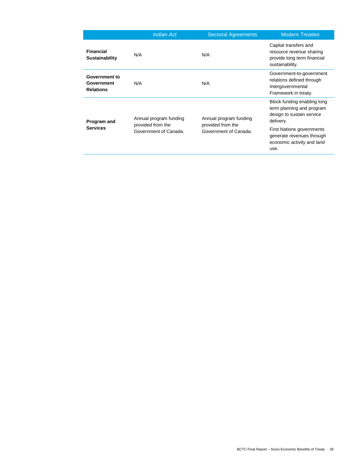|                                                 | <b>Indian Act</b>                                                    | <b>Sectoral Agreements</b>                                           | <b>Modern Treaties</b>                                                                              |
|-------------------------------------------------|----------------------------------------------------------------------|----------------------------------------------------------------------|-----------------------------------------------------------------------------------------------------|
| <b>Financial</b><br>Sustainability              | N/A                                                                  | N/A                                                                  | Capital transfers and<br>resource revenue sharing<br>provide long term financial<br>sustainability. |
| Government to<br>Government<br><b>Relations</b> | N/A                                                                  | N/A                                                                  | Government-to-government<br>relations defined through<br>Intergovernmental<br>Framework in treaty.  |
| Program and<br><b>Services</b>                  | Annual program funding<br>provided from the<br>Government of Canada. | Annual program funding<br>provided from the<br>Government of Canada. | Block funding enabling long<br>term planning and program<br>design to sustain service<br>delivery.  |
|                                                 |                                                                      |                                                                      | <b>First Nations governments</b><br>generate revenues through<br>economic activity and land<br>use. |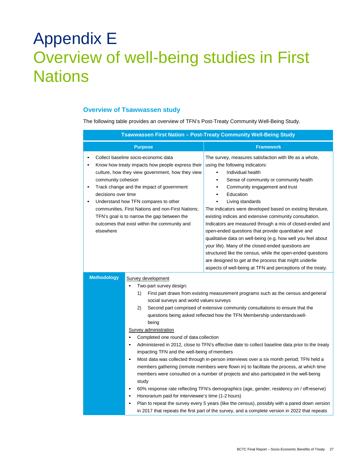# <span id="page-32-0"></span>Appendix E Overview of well-being studies in First **Nations**

# **Overview of Tsawwassen study**

The following table provides an overview of TFN's Post-Treaty Community Well-Being Study.

| Tsawwassen First Nation - Post-Treaty Community Well-Being Study                                                                                                                                                                                                                                                                                                                                                                                                                                                                                                                                                                                                                                                                                                                                                                                                                                                                                                                                                                                                                                                                                                                                                                                                           |                                                                                                                                                                                                                                                                                                                                                                                                                                                                                                                                                                                                                                                                                                                                                                                                                              |  |
|----------------------------------------------------------------------------------------------------------------------------------------------------------------------------------------------------------------------------------------------------------------------------------------------------------------------------------------------------------------------------------------------------------------------------------------------------------------------------------------------------------------------------------------------------------------------------------------------------------------------------------------------------------------------------------------------------------------------------------------------------------------------------------------------------------------------------------------------------------------------------------------------------------------------------------------------------------------------------------------------------------------------------------------------------------------------------------------------------------------------------------------------------------------------------------------------------------------------------------------------------------------------------|------------------------------------------------------------------------------------------------------------------------------------------------------------------------------------------------------------------------------------------------------------------------------------------------------------------------------------------------------------------------------------------------------------------------------------------------------------------------------------------------------------------------------------------------------------------------------------------------------------------------------------------------------------------------------------------------------------------------------------------------------------------------------------------------------------------------------|--|
| <b>Purpose</b>                                                                                                                                                                                                                                                                                                                                                                                                                                                                                                                                                                                                                                                                                                                                                                                                                                                                                                                                                                                                                                                                                                                                                                                                                                                             | <b>Framework</b>                                                                                                                                                                                                                                                                                                                                                                                                                                                                                                                                                                                                                                                                                                                                                                                                             |  |
| Collect baseline socio-economic data<br>Know how treaty impacts how people express their<br>$\bullet$<br>culture, how they view government, how they view<br>community cohesion<br>Track change and the impact of government<br>$\bullet$<br>decisions over time<br>Understand how TFN compares to other<br>$\bullet$<br>communities, First Nations and non-First Nations;<br>TFN's goal is to narrow the gap between the<br>outcomes that exist within the community and<br>elsewhere                                                                                                                                                                                                                                                                                                                                                                                                                                                                                                                                                                                                                                                                                                                                                                                     | The survey, measures satisfaction with life as a whole,<br>using the following indicators:<br>Individual health<br>$\bullet$<br>Sense of community or community health<br>$\bullet$<br>Community engagement and trust<br>Education<br>$\bullet$<br>Living standards<br>The indicators were developed based on existing literature,<br>existing indices and extensive community consultation.<br>Indicators are measured through a mix of closed-ended and<br>open-ended questions that provide quantitative and<br>qualitative data on well-being (e.g. how well you feel about<br>your life). Many of the closed-ended questions are<br>structured like the census, while the open-ended questions<br>are designed to get at the process that might underlie<br>aspects of well-being at TFN and perceptions of the treaty. |  |
| <b>Methodology</b><br>Survey development<br>Two-part survey design:<br>First part draws from existing measurement programs such as the census and general<br>1)<br>social surveys and world values surveys<br>2)<br>Second part comprised of extensive community consultations to ensure that the<br>questions being asked reflected how the TFN Membership understands well-<br>being<br>Survey administration<br>Completed one round of data collection<br>Administered in 2012, close to TFN's effective date to collect baseline data prior to the treaty<br>impacting TFN and the well-being of members<br>Most data was collected through in-person interviews over a six month period; TFN held a<br>$\bullet$<br>members gathering (remote members were flown in) to facilitate the process, at which time<br>members were consulted on a number of projects and also participated in the well-being<br>study<br>60% response rate reflecting TFN's demographics (age, gender, residency on / offreserve)<br>Honorarium paid for interviewee's time (1-2 hours)<br>Plan to repeat the survey every 5 years (like the census), possibly with a pared down version<br>in 2017 that repeats the first part of the survey, and a complete version in 2022 that repeats |                                                                                                                                                                                                                                                                                                                                                                                                                                                                                                                                                                                                                                                                                                                                                                                                                              |  |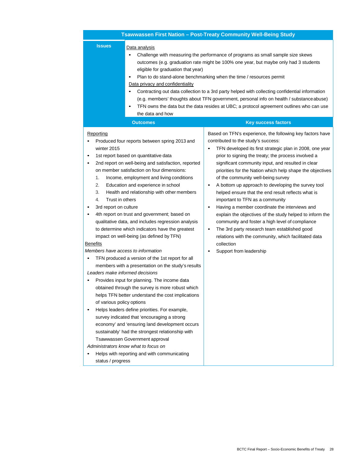|                                                                                                                                                                                                                                                                                                                                                                                                                                                                                                                                                                         | Tsawwassen First Nation - Post-Treaty Community Well-Being Study                                                                                                                                                                                                                                                                                                                                                                                                                                                                                                                                                                                 |
|-------------------------------------------------------------------------------------------------------------------------------------------------------------------------------------------------------------------------------------------------------------------------------------------------------------------------------------------------------------------------------------------------------------------------------------------------------------------------------------------------------------------------------------------------------------------------|--------------------------------------------------------------------------------------------------------------------------------------------------------------------------------------------------------------------------------------------------------------------------------------------------------------------------------------------------------------------------------------------------------------------------------------------------------------------------------------------------------------------------------------------------------------------------------------------------------------------------------------------------|
| <b>Issues</b><br>Data analysis<br>$\bullet$<br>eligible for graduation that year)<br>$\bullet$<br>Data privacy and confidentiality<br>$\bullet$<br>$\bullet$<br>the data and how<br><b>Outcomes</b>                                                                                                                                                                                                                                                                                                                                                                     | Challenge with measuring the performance of programs as small sample size skews<br>outcomes (e.g. graduation rate might be 100% one year, but maybe only had 3 students<br>Plan to do stand-alone benchmarking when the time / resources permit<br>Contracting out data collection to a 3rd party helped with collecting confidential information<br>(e.g. members' thoughts about TFN government, personal info on health / substanceabuse)<br>TFN owns the data but the data resides at UBC; a protocol agreement outlines who can use<br><b>Key success factors</b>                                                                           |
| Reporting<br>Produced four reports between spring 2013 and<br>٠<br>winter 2015                                                                                                                                                                                                                                                                                                                                                                                                                                                                                          | Based on TFN's experience, the following key factors have<br>contributed to the study's success:<br>TFN developed its first strategic plan in 2008, one year                                                                                                                                                                                                                                                                                                                                                                                                                                                                                     |
| 1st report based on quantitative data<br>٠<br>2nd report on well-being and satisfaction, reported<br>٠<br>on member satisfaction on four dimensions:<br>Income, employment and living conditions<br>1.<br>2.<br>Education and experience in school<br>3.<br>Health and relationship with other members<br>4.<br>Trust in others<br>3rd report on culture<br>٠<br>4th report on trust and government; based on<br>٠<br>qualitative data, and includes regression analysis<br>to determine which indicators have the greatest<br>impact on well-being (as defined by TFN) | prior to signing the treaty; the process involved a<br>significant community input, and resulted in clear<br>priorities for the Nation which help shape the objectives<br>of the community well-being survey<br>A bottom up approach to developing the survey tool<br>helped ensure that the end result reflects what is<br>important to TFN as a community<br>Having a member coordinate the interviews and<br>explain the objectives of the study helped to inform the<br>community and foster a high level of compliance<br>The 3rd party research team established good<br>$\bullet$<br>relations with the community, which facilitated data |
| <b>Benefits</b>                                                                                                                                                                                                                                                                                                                                                                                                                                                                                                                                                         | collection                                                                                                                                                                                                                                                                                                                                                                                                                                                                                                                                                                                                                                       |
| Members have access to information<br>٠                                                                                                                                                                                                                                                                                                                                                                                                                                                                                                                                 | Support from leadership                                                                                                                                                                                                                                                                                                                                                                                                                                                                                                                                                                                                                          |
| TFN produced a version of the 1st report for all<br>members with a presentation on the study's results                                                                                                                                                                                                                                                                                                                                                                                                                                                                  |                                                                                                                                                                                                                                                                                                                                                                                                                                                                                                                                                                                                                                                  |
| Leaders make informed decisions                                                                                                                                                                                                                                                                                                                                                                                                                                                                                                                                         |                                                                                                                                                                                                                                                                                                                                                                                                                                                                                                                                                                                                                                                  |
| Provides input for planning. The income data<br>obtained through the survey is more robust which<br>helps TFN better understand the cost implications<br>of various policy options                                                                                                                                                                                                                                                                                                                                                                                      |                                                                                                                                                                                                                                                                                                                                                                                                                                                                                                                                                                                                                                                  |
| Helps leaders define priorities. For example,<br>$\bullet$<br>survey indicated that 'encouraging a strong<br>economy' and 'ensuring land development occurs<br>sustainably' had the strongest relationship with<br>Tsawwassen Government approval                                                                                                                                                                                                                                                                                                                       |                                                                                                                                                                                                                                                                                                                                                                                                                                                                                                                                                                                                                                                  |
| Administrators know what to focus on<br>Helps with reporting and with communicating<br>status / progress                                                                                                                                                                                                                                                                                                                                                                                                                                                                |                                                                                                                                                                                                                                                                                                                                                                                                                                                                                                                                                                                                                                                  |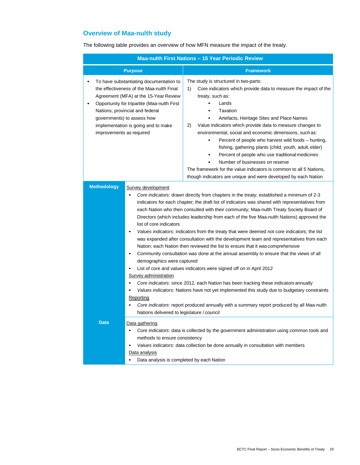# **Overview of Maa-nulth study**

The following table provides an overview of how MFN measure the impact of the treaty.

| Maa-nulth First Nations - 15 Year Periodic Review |                                                                                                                                                                                                                                                                                     |                                                                                                                                                                                                                                                                                                                                                                                                                                                                                                                                                                                                                                                                                                                                                                                                                                                                                                                                                                                                                                                                                                                       |
|---------------------------------------------------|-------------------------------------------------------------------------------------------------------------------------------------------------------------------------------------------------------------------------------------------------------------------------------------|-----------------------------------------------------------------------------------------------------------------------------------------------------------------------------------------------------------------------------------------------------------------------------------------------------------------------------------------------------------------------------------------------------------------------------------------------------------------------------------------------------------------------------------------------------------------------------------------------------------------------------------------------------------------------------------------------------------------------------------------------------------------------------------------------------------------------------------------------------------------------------------------------------------------------------------------------------------------------------------------------------------------------------------------------------------------------------------------------------------------------|
|                                                   | <b>Purpose</b>                                                                                                                                                                                                                                                                      | <b>Framework</b>                                                                                                                                                                                                                                                                                                                                                                                                                                                                                                                                                                                                                                                                                                                                                                                                                                                                                                                                                                                                                                                                                                      |
| ٠<br>٠<br>improvements as required                | To have substantiating documentation to<br>the effectiveness of the Maa-nulth Final<br>Agreement (MFA) at the 15-Year Review<br>Opportunity for tripartite (Maa-nulth First<br>Nations, provincial and federal<br>governments) to assess how<br>implementation is going and to make | The study is structured in two-parts:<br>1)<br>Core indicators which provide data to measure the impact of the<br>treaty, such as:<br>Lands<br>Taxation<br>$\bullet$<br>Artefacts, Heritage Sites and Place Names<br>2)<br>Value indicators which provide data to measure changes to<br>environmental, social and economic dimensions, such as:<br>Percent of people who harvest wild foods - hunting,<br>fishing, gathering plants (child, youth, adult, elder)<br>Percent of people who use traditional medicines<br>٠<br>Number of businesses on reserve<br>The framework for the value indicators is common to all 5 Nations,<br>though indicators are unique and were developed by each Nation                                                                                                                                                                                                                                                                                                                                                                                                                   |
| <b>Methodology</b>                                | Survey development<br>list of core indicators<br>$\bullet$<br>demographics were captured<br>Survey administration<br>Reporting<br>Nations delivered to legislature / council                                                                                                        | Core indicators: drawn directly from chapters in the treaty; established a minimum of 2-3<br>indicators for each chapter; the draft list of indicators was shared with representatives from<br>each Nation who then consulted with their community; Maa-nulth Treaty Society Board of<br>Directors (which includes leadership from each of the five Maa-nulth Nations) approved the<br>Values indicators: indicators from the treaty that were deemed not core indicators; the list<br>was expanded after consultation with the development team and representatives from each<br>Nation; each Nation then reviewed the list to ensure that it was comprehensive<br>Community consultation was done at the annual assembly to ensure that the views of all<br>List of core and values indicators were signed off on in April 2012<br>Core indicators: since 2012, each Nation has been tracking these indicators annually<br>Values indicators: Nations have not yet implemented this study due to budgetary constraints<br>Core indicators: report produced annually with a summary report produced by all Maa-nulth |
| <b>Data</b>                                       | Data gathering<br>$\bullet$<br>methods to ensure consistency<br>Data analysis<br>Data analysis is completed by each Nation                                                                                                                                                          | Core indicators: data is collected by the government administration using common tools and<br>Values indicators: data collection be done annually in consultation with members                                                                                                                                                                                                                                                                                                                                                                                                                                                                                                                                                                                                                                                                                                                                                                                                                                                                                                                                        |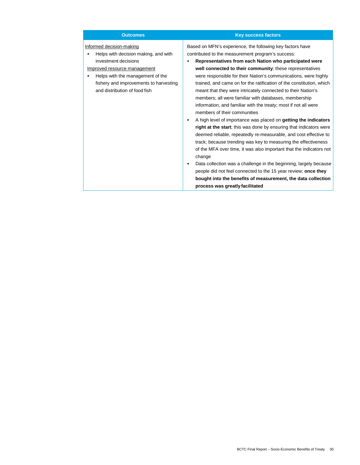| <b>Outcomes</b>                                                                                                                                                                                                                         | <b>Key success factors</b>                                                                                                                                                                                                                                                                                                                                                                                                                                                                                                                                                                                                                                                                                                                                                                                                                                                                                                                                                                                                                                                                                                                                                                                            |
|-----------------------------------------------------------------------------------------------------------------------------------------------------------------------------------------------------------------------------------------|-----------------------------------------------------------------------------------------------------------------------------------------------------------------------------------------------------------------------------------------------------------------------------------------------------------------------------------------------------------------------------------------------------------------------------------------------------------------------------------------------------------------------------------------------------------------------------------------------------------------------------------------------------------------------------------------------------------------------------------------------------------------------------------------------------------------------------------------------------------------------------------------------------------------------------------------------------------------------------------------------------------------------------------------------------------------------------------------------------------------------------------------------------------------------------------------------------------------------|
| Informed decision-making<br>Helps with decision making, and with<br>investment decisions<br>Improved resource management<br>Helps with the management of the<br>fishery and improvements to harvesting<br>and distribution of food fish | Based on MFN's experience, the following key factors have<br>contributed to the measurement program's success:<br>Representatives from each Nation who participated were<br>well connected to their community; these representatives<br>were responsible for their Nation's communications, were highly<br>trained, and came on for the ratification of the constitution, which<br>meant that they were intricately connected to their Nation's<br>members; all were familiar with databases, membership<br>information, and familiar with the treaty; most if not all were<br>members of their communities<br>A high level of importance was placed on getting the indicators<br>right at the start; this was done by ensuring that indicators were<br>deemed reliable, repeatedly re-measurable, and cost effective to<br>track; because trending was key to measuring the effectiveness<br>of the MFA over time, it was also important that the indicators not<br>change<br>Data collection was a challenge in the beginning, largely because<br>people did not feel connected to the 15 year review; once they<br>bought into the benefits of measurement, the data collection<br>process was greatly facilitated |
|                                                                                                                                                                                                                                         |                                                                                                                                                                                                                                                                                                                                                                                                                                                                                                                                                                                                                                                                                                                                                                                                                                                                                                                                                                                                                                                                                                                                                                                                                       |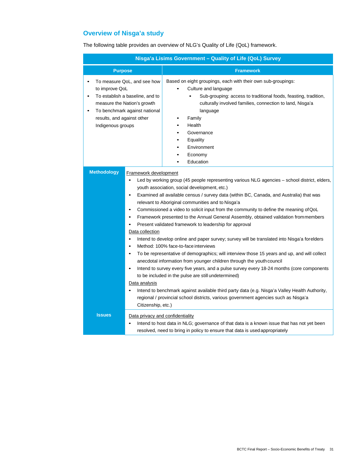# **Overview of Nisga'a study**

The following table provides an overview of NLG's Quality of Life (QoL) framework.

| Nisga'a Lisims Government - Quality of Life (QoL) Survey                    |                                                                                                                                                               |                                                                                                                                                                                                                                                                                                                                                                                                                                                                                                                                                                                                                                                                                                                                                                                                                                                                                                                                                                                                                                                                                                                                                                                                    |  |
|-----------------------------------------------------------------------------|---------------------------------------------------------------------------------------------------------------------------------------------------------------|----------------------------------------------------------------------------------------------------------------------------------------------------------------------------------------------------------------------------------------------------------------------------------------------------------------------------------------------------------------------------------------------------------------------------------------------------------------------------------------------------------------------------------------------------------------------------------------------------------------------------------------------------------------------------------------------------------------------------------------------------------------------------------------------------------------------------------------------------------------------------------------------------------------------------------------------------------------------------------------------------------------------------------------------------------------------------------------------------------------------------------------------------------------------------------------------------|--|
| <b>Purpose</b>                                                              |                                                                                                                                                               | <b>Framework</b>                                                                                                                                                                                                                                                                                                                                                                                                                                                                                                                                                                                                                                                                                                                                                                                                                                                                                                                                                                                                                                                                                                                                                                                   |  |
| to improve QoL<br>٠<br>٠<br>results, and against other<br>Indigenous groups | To measure QoL, and see how<br>To establish a baseline, and to<br>measure the Nation's growth<br>To benchmark against national                                | Based on eight groupings, each with their own sub-groupings:<br>Culture and language<br>Sub-grouping: access to traditional foods, feasting, tradition,<br>culturally involved families, connection to land, Nisga'a<br>language<br>Family<br>Health<br>Governance<br>Equality<br>Environment<br>Economy<br>Education                                                                                                                                                                                                                                                                                                                                                                                                                                                                                                                                                                                                                                                                                                                                                                                                                                                                              |  |
| <b>Methodology</b>                                                          | Framework development<br>$\bullet$<br>$\bullet$<br>$\bullet$<br>Data collection<br>$\bullet$<br>$\bullet$<br>$\bullet$<br>Data analysis<br>Citizenship, etc.) | Led by working group (45 people representing various NLG agencies - school district, elders,<br>youth association, social development, etc.)<br>Examined all available census / survey data (within BC, Canada, and Australia) that was<br>relevant to Aboriginal communities and to Nisga'a<br>Commissioned a video to solicit input from the community to define the meaning of QoL<br>Framework presented to the Annual General Assembly, obtained validation frommembers<br>Present validated framework to leadership for approval<br>Intend to develop online and paper survey; survey will be translated into Nisga'a forelders<br>Method: 100% face-to-face interviews<br>To be representative of demographics; will interview those 15 years and up, and will collect<br>anecdotal information from younger children through the youth council<br>Intend to survey every five years, and a pulse survey every 18-24 months (core components<br>to be included in the pulse are still undetermined)<br>Intend to benchmark against available third party data (e.g. Nisga'a Valley Health Authority,<br>regional / provincial school districts, various government agencies such as Nisga'a |  |
| <b>Issues</b>                                                               | Data privacy and confidentiality                                                                                                                              | Intend to host data in NLG; governance of that data is a known issue that has not yet been<br>resolved, need to bring in policy to ensure that data is used appropriately                                                                                                                                                                                                                                                                                                                                                                                                                                                                                                                                                                                                                                                                                                                                                                                                                                                                                                                                                                                                                          |  |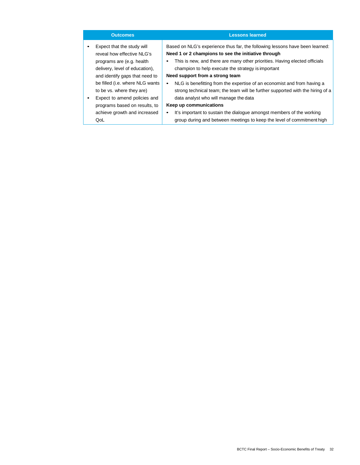| <b>Outcomes</b>                           | <b>Lessons learned</b>                                                          |
|-------------------------------------------|---------------------------------------------------------------------------------|
| Expect that the study will<br>٠           | Based on NLG's experience thus far, the following lessons have been learned:    |
| reveal how effective NLG's                | Need 1 or 2 champions to see the initiative through                             |
| programs are (e.g. health                 | This is new, and there are many other priorities. Having elected officials<br>٠ |
| delivery, level of education),            | champion to help execute the strategy is important                              |
| and identify gaps that need to            | Need support from a strong team                                                 |
| be filled (i.e. where NLG wants           | NLG is benefitting from the expertise of an economist and from having a<br>٠    |
| to be vs. where they are)                 | strong technical team; the team will be further supported with the hiring of a  |
| Expect to amend policies and<br>$\bullet$ | data analyst who will manage the data                                           |
| programs based on results, to             | Keep up communications                                                          |
| achieve growth and increased              | It's important to sustain the dialogue amongst members of the working<br>٠      |
| QoL                                       | group during and between meetings to keep the level of commitment high          |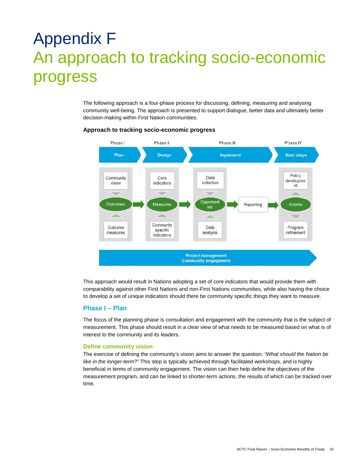# <span id="page-38-0"></span>Appendix F An approach to tracking socio-economic progress

The following approach is a four-phase process for discussing, defining, measuring and analysing community well-being. The approach is presented to support dialogue, better data and ultimately better decision-making within First Nation communities.



### **Approach to tracking socio-economic progress**

This approach would result in Nations adopting a set of core indicators that would provide them with comparability against other First Nations and non-First Nations communities, while also having the choice to develop a set of unique indicators should there be community specific things they want to measure.

### **Phase I – Plan**

The focus of the planning phase is consultation and engagement with the community that is the subject of measurement. This phase should result in a clear view of what needs to be measured based on what is of interest to the community and its leaders.

#### **Define community vision**

The exercise of defining the community's vision aims to answer the question: *"What should the Nation be like in the longer-term?"* This step is typically achieved through facilitated workshops, and is highly beneficial in terms of community engagement. The vision can then help define the objectives of the measurement program, and can be linked to shorter-term actions, the results of which can be tracked over time.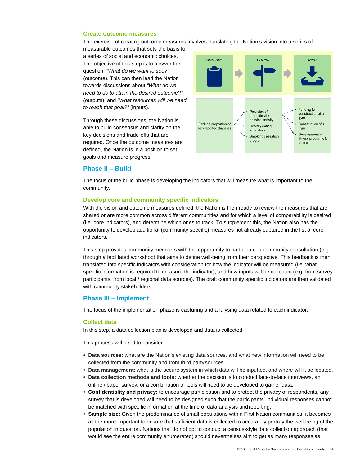#### **Create outcome measures**

The exercise of creating outcome measures involves translating the Nation's vision into a series of

measurable outcomes that sets the basis for a series of social and economic choices. The objective of this step is to answer the question: *"What do we want to see?"*  (outcome). This can then lead the Nation towards discussions about *"What do we need to do to attain the desired outcome?"*  (outputs), and *"What resources will we need to reach that goal?"* (inputs).

Through these discussions, the Nation is able to build consensus and clarity on the key decisions and trade-offs that are required. Once the outcome measures are defined, the Nation is in a position to set goals and measure progress.



#### **Phase II – Build**

The focus of the build phase is developing the indicators that will measure what is important to the community.

#### **Develop core and community specific indicators**

With the vision and outcome measures defined, the Nation is then ready to review the measures that are shared or are more common across different communities and for which a level of comparability is desired (i.e. core indicators), and determine which ones to track. To supplement this, the Nation also has the opportunity to develop additional (community specific) measures not already captured in the list of core indicators.

This step provides community members with the opportunity to participate in community consultation (e.g. through a facilitated workshop) that aims to define well-being from their perspective. This feedback is then translated into specific indicators with consideration for how the indicator will be measured (i.e. what specific information is required to measure the indicator), and how inputs will be collected (e.g. from survey participants, from local / regional data sources). The draft community specific indicators are then validated with community stakeholders.

#### **Phase III – Implement**

The focus of the implementation phase is capturing and analysing data related to each indicator.

#### **Collect data**

In this step, a data collection plan is developed and data is collected.

This process will need to consider:

- **Data sources:** what are the Nation's existing data sources, and what new information will need to be collected from the community and from third party sources.
- **Data management:** what is the secure system in which data will be inputted, and where will it be located.
- **Data collection methods and tools:** whether the decision is to conduct face-to-face interviews, an online / paper survey, or a combination of tools will need to be developed to gather data.
- **Confidentiality and privacy:** to encourage participation and to protect the privacy of respondents, any survey that is developed will need to be designed such that the participants' individual responses cannot be matched with specific information at the time of data analysis andreporting.
- **Sample size:** Given the predominance of small populations within First Nation communities, it becomes all the more important to ensure that sufficient data is collected to accurately portray the well-being of the population in question. Nations that do not opt to conduct a census-style data collection approach (that would see the entire community enumerated) should nevertheless aim to get as many responses as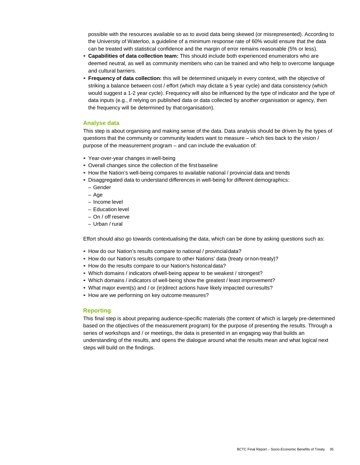possible with the resources available so as to avoid data being skewed (or misrepresented). According to the University of Waterloo, a guideline of a minimum response rate of 60% would ensure that the data can be treated with statistical confidence and the margin of error remains reasonable (5% or less).

- **Capabilities of data collection team:** This should include both experienced enumerators who are deemed neutral, as well as community members who can be trained and who help to overcome language and cultural barriers.
- **Frequency of data collection:** this will be determined uniquely in every context, with the objective of striking a balance between cost / effort (which may dictate a 5 year cycle) and data consistency (which would suggest a 1-2 year cycle). Frequency will also be influenced by the type of indicator and the type of data inputs (e.g., if relying on published data or data collected by another organisation or agency, then the frequency will be determined by that organisation).

#### **Analyse data**

This step is about organising and making sense of the data. Data analysis should be driven by the types of questions that the community or community leaders want to measure – which ties back to the vision / purpose of the measurement program – and can include the evaluation of:

- Year-over-year changes in well-being
- Overall changes since the collection of the first baseline
- How the Nation's well-being compares to available national / provincial data and trends
- Disaggregated data to understand differences in well-being for different demographics:
	- Gender
	- Age
	- Income level
	- Education level
	- On / off reserve
	- Urban / rural

Effort should also go towards contextualising the data, which can be done by asking questions such as:

- How do our Nation's results compare to national / provincialdata?
- How do our Nation's results compare to other Nations' data (treaty ornon-treaty)?
- How do the results compare to our Nation's historicaldata?
- Which domains / indicators ofwell-being appear to be weakest / strongest?
- Which domains / indicators of well-being show the greatest / least improvement?
- What major event(s) and / or (in)direct actions have likely impacted ourresults?
- How are we performing on key outcome measures?

#### **Reporting**

This final step is about preparing audience-specific materials (the content of which is largely pre-determined based on the objectives of the measurement program) for the purpose of presenting the results. Through a series of workshops and / or meetings, the data is presented in an engaging way that builds an understanding of the results, and opens the dialogue around what the results mean and what logical next steps will build on the findings.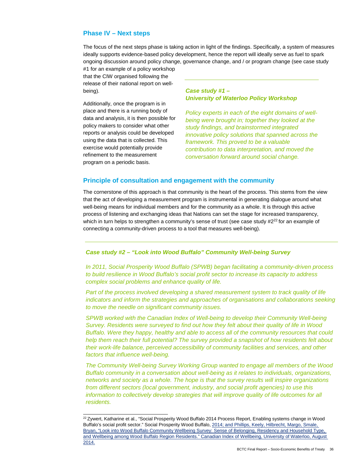# **Phase IV – Next steps**

The focus of the next steps phase is taking action in light of the findings. Specifically, a system of measures ideally supports evidence-based policy development, hence the report will ideally serve as fuel to spark ongoing discussion around policy change, governance change, and / or program change (see case study

#1 for an example of a policy workshop that the CIW organised following the release of their national report on wellbeing).

Additionally, once the program is in place and there is a running body of data and analysis, it is then possible for policy makers to consider what other reports or analysis could be developed using the data that is collected. This exercise would potentially provide refinement to the measurement program on a periodic basis.

# *Case study #1 – University of Waterloo Policy Workshop*

*Policy experts in each of the eight domains of wellbeing were brought in; together they looked at the study findings, and brainstormed integrated innovative policy solutions that spanned across the framework. This proved to be a valuable contribution to data interpretation, and moved the conversation forward around social change.*

# **Principle of consultation and engagement with the community**

The cornerstone of this approach is that community is the heart of the process. This stems from the view that the act of developing a measurement program is instrumental in generating dialogue around what well-being means for individual members and for the community as a whole. It is through this active process of listening and exchanging ideas that Nations can set the stage for increased transparency, which in turn helps to strengthen a community's sense of trust (see case study  $#2^{22}$  for an example of connecting a community-driven process to a tool that measures well-being).

### *Case study #2 – "Look into Wood Buffalo" Community Well-being Survey*

*In 2011, Social Prosperity Wood Buffalo (SPWB) began facilitating a community-driven process to build resilience in Wood Buffalo's social profit sector to increase its capacity to address complex social problems and enhance quality of life.*

Part of the process involved developing a shared measurement system to track quality of life *indicators and inform the strategies and approaches of organisations and collaborations seeking to move the needle on significant community issues.*

*SPWB worked with the Canadian Index of Well-being to develop their Community Well-being Survey. Residents were surveyed to find out how they felt about their quality of life in Wood Buffalo. Were they happy, healthy and able to access all of the community resources that could help them reach their full potential? The survey provided a snapshot of how residents felt about their work-life balance, perceived accessibility of community facilities and services, and other factors that influence well-being.*

*The Community Well-being Survey Working Group wanted to engage all members of the Wood Buffalo community in a conversation about well-being as it relates to individuals, organizations, networks and society as a whole. The hope is that the survey results will inspire organizations from different sectors (local government, industry, and social profit agencies) to use this information to collectively develop strategies that will improve quality of life outcomes for all residents.*

<span id="page-41-0"></span><sup>&</sup>lt;sup>22</sup> Zywert, Katharine et al., "Social Prosperity Wood Buffalo 2014 Process Report, Enabling systems change in Wood Buffalo's social profit sector." Social Prosperity Wood Buffalo, 2014; and Phillips, Keely, Hilbrecht, Margo, Smale, Bryan, "Look into Wood Buffalo Community Wellbeing Survey: Sense of Belonging, Residency and Household Type, and Wellbeing among Wood Buffalo Region Residents." Canadian Index of Wellbeing, University of Waterloo, August 2014.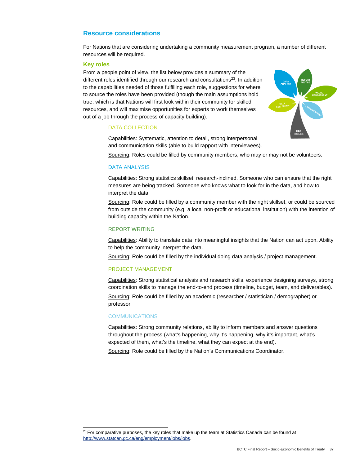# **Resource considerations**

For Nations that are considering undertaking a community measurement program, a number of different resources will be required.

#### **Key roles**

From a people point of view, the list below provides a summary of the different roles identified through our research and consultations<sup>23</sup>. In addition to the capabilities needed of those fulfilling each role, suggestions for where to source the roles have been provided (though the main assumptions hold true, which is that Nations will first look within their community for skilled resources, and will maximise opportunities for experts to work themselves out of a job through the process of capacity building).

### DATA COLLECTION

Capabilities: Systematic, attention to detail, strong interpersonal and communication skills (able to build rapport with interviewees).

Sourcing: Roles could be filled by community members, who may or may not be volunteers.

#### DATA ANALYSIS

Capabilities: Strong statistics skillset, research-inclined. Someone who can ensure that the right measures are being tracked. Someone who knows what to look for in the data, and how to interpret the data.

Sourcing: Role could be filled by a community member with the right skillset, or could be sourced from outside the community (e.g. a local non-profit or educational institution) with the intention of building capacity within the Nation.

#### REPORT WRITING

Capabilities: Ability to translate data into meaningful insights that the Nation can act upon. Ability to help the community interpret the data.

Sourcing: Role could be filled by the individual doing data analysis / project management.

### PROJECT MANAGEMENT

Capabilities: Strong statistical analysis and research skills, experience designing surveys, strong coordination skills to manage the end-to-end process (timeline, budget, team, and deliverables).

Sourcing: Role could be filled by an academic (researcher / statistician / demographer) or professor.

#### **COMMUNICATIONS**

Capabilities: Strong community relations, ability to inform members and answer questions throughout the process (what's happening, why it's happening, why it's important, what's expected of them, what's the timeline, what they can expect at the end).

Sourcing: Role could be filled by the Nation's Communications Coordinator.

<span id="page-42-0"></span> $23$  For comparative purposes, the key roles that make up the team at Statistics Canada can be found at [http://www.statcan.gc.ca/eng/employment/jobs/jobs.](http://www.statcan.gc.ca/eng/employment/jobs/jobs)